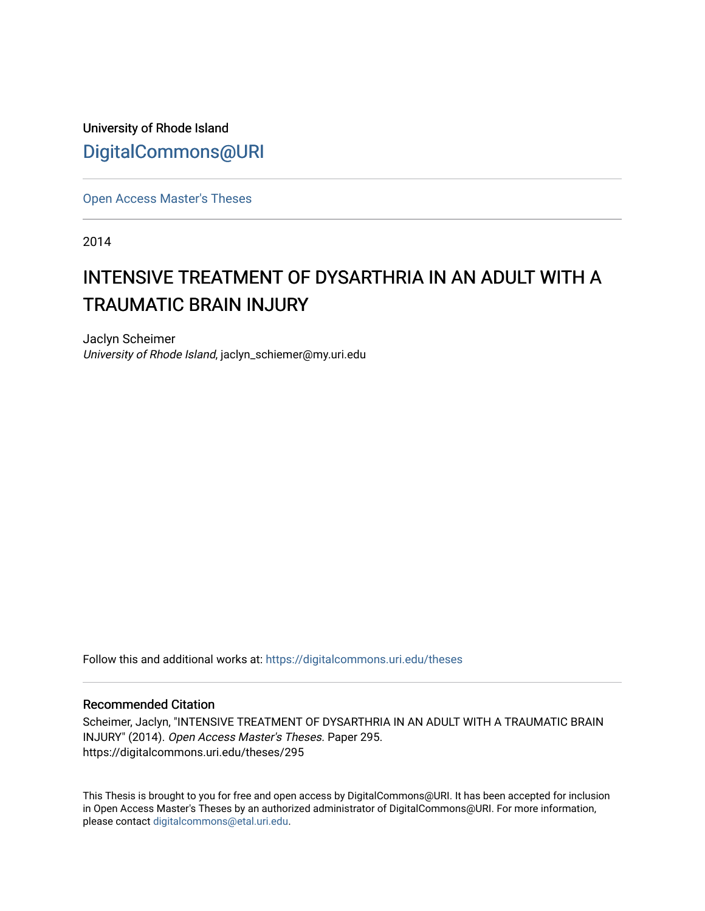University of Rhode Island [DigitalCommons@URI](https://digitalcommons.uri.edu/) 

[Open Access Master's Theses](https://digitalcommons.uri.edu/theses) 

2014

## INTENSIVE TREATMENT OF DYSARTHRIA IN AN ADULT WITH A TRAUMATIC BRAIN INJURY

Jaclyn Scheimer University of Rhode Island, jaclyn\_schiemer@my.uri.edu

Follow this and additional works at: [https://digitalcommons.uri.edu/theses](https://digitalcommons.uri.edu/theses?utm_source=digitalcommons.uri.edu%2Ftheses%2F295&utm_medium=PDF&utm_campaign=PDFCoverPages)

#### Recommended Citation

Scheimer, Jaclyn, "INTENSIVE TREATMENT OF DYSARTHRIA IN AN ADULT WITH A TRAUMATIC BRAIN INJURY" (2014). Open Access Master's Theses. Paper 295. https://digitalcommons.uri.edu/theses/295

This Thesis is brought to you for free and open access by DigitalCommons@URI. It has been accepted for inclusion in Open Access Master's Theses by an authorized administrator of DigitalCommons@URI. For more information, please contact [digitalcommons@etal.uri.edu.](mailto:digitalcommons@etal.uri.edu)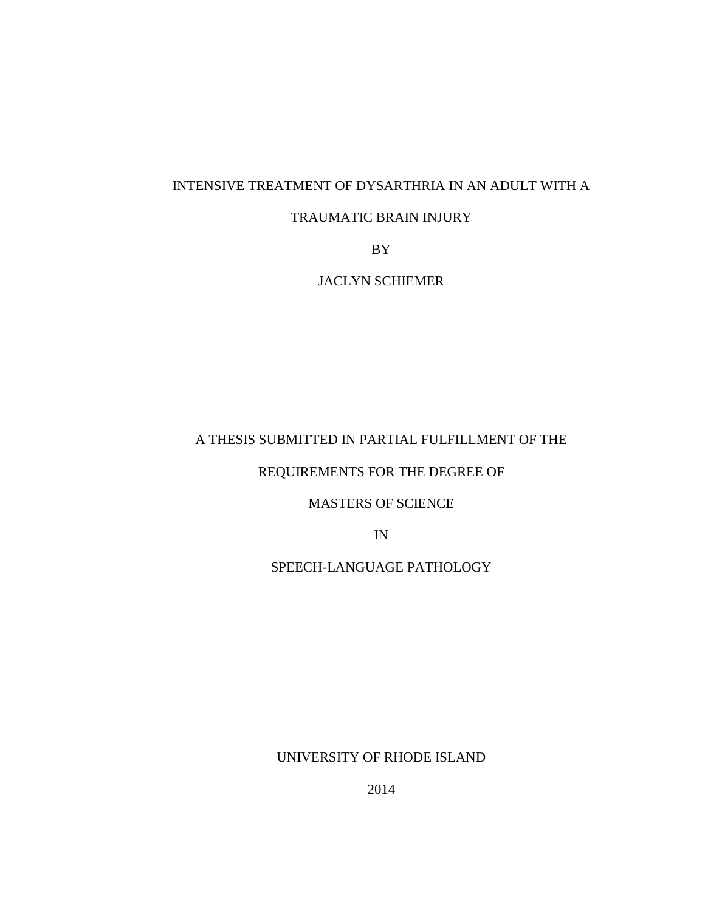## INTENSIVE TREATMENT OF DYSARTHRIA IN AN ADULT WITH A

## TRAUMATIC BRAIN INJURY

BY

JACLYN SCHIEMER

## A THESIS SUBMITTED IN PARTIAL FULFILLMENT OF THE

## REQUIREMENTS FOR THE DEGREE OF

## MASTERS OF SCIENCE

IN

## SPEECH-LANGUAGE PATHOLOGY

UNIVERSITY OF RHODE ISLAND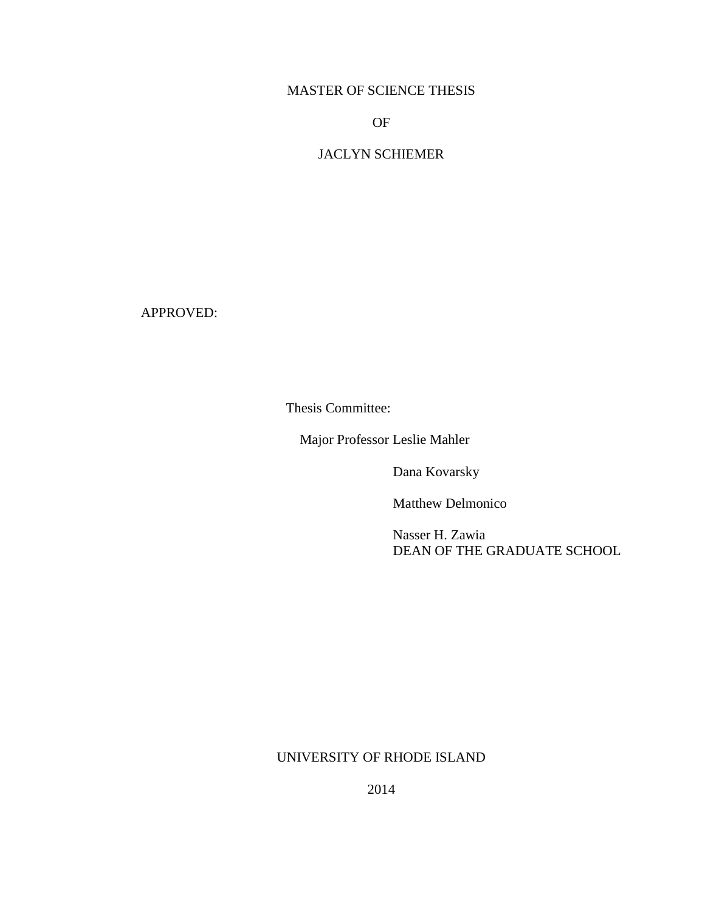## MASTER OF SCIENCE THESIS

OF

## JACLYN SCHIEMER

APPROVED:

Thesis Committee:

Major Professor Leslie Mahler

Dana Kovarsky

Matthew Delmonico

Nasser H. Zawia DEAN OF THE GRADUATE SCHOOL

#### UNIVERSITY OF RHODE ISLAND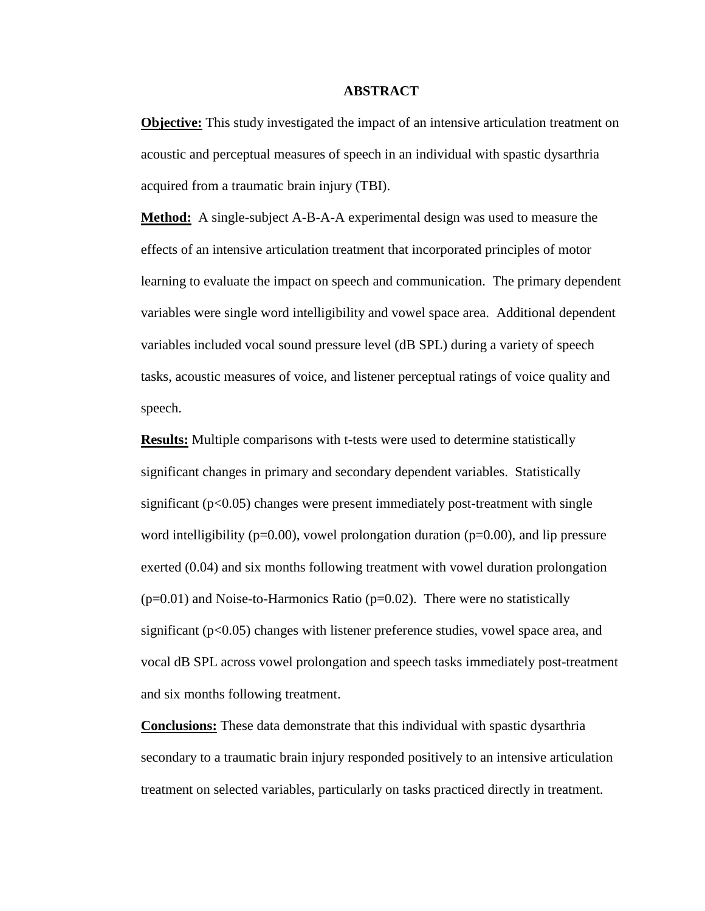#### **ABSTRACT**

**Objective:** This study investigated the impact of an intensive articulation treatment on acoustic and perceptual measures of speech in an individual with spastic dysarthria acquired from a traumatic brain injury (TBI).

**Method:** A single-subject A-B-A-A experimental design was used to measure the effects of an intensive articulation treatment that incorporated principles of motor learning to evaluate the impact on speech and communication. The primary dependent variables were single word intelligibility and vowel space area. Additional dependent variables included vocal sound pressure level (dB SPL) during a variety of speech tasks, acoustic measures of voice, and listener perceptual ratings of voice quality and speech.

**Results:** Multiple comparisons with t-tests were used to determine statistically significant changes in primary and secondary dependent variables. Statistically significant  $(p<0.05)$  changes were present immediately post-treatment with single word intelligibility ( $p=0.00$ ), vowel prolongation duration ( $p=0.00$ ), and lip pressure exerted (0.04) and six months following treatment with vowel duration prolongation  $(p=0.01)$  and Noise-to-Harmonics Ratio  $(p=0.02)$ . There were no statistically significant ( $p<0.05$ ) changes with listener preference studies, vowel space area, and vocal dB SPL across vowel prolongation and speech tasks immediately post-treatment and six months following treatment.

**Conclusions:** These data demonstrate that this individual with spastic dysarthria secondary to a traumatic brain injury responded positively to an intensive articulation treatment on selected variables, particularly on tasks practiced directly in treatment.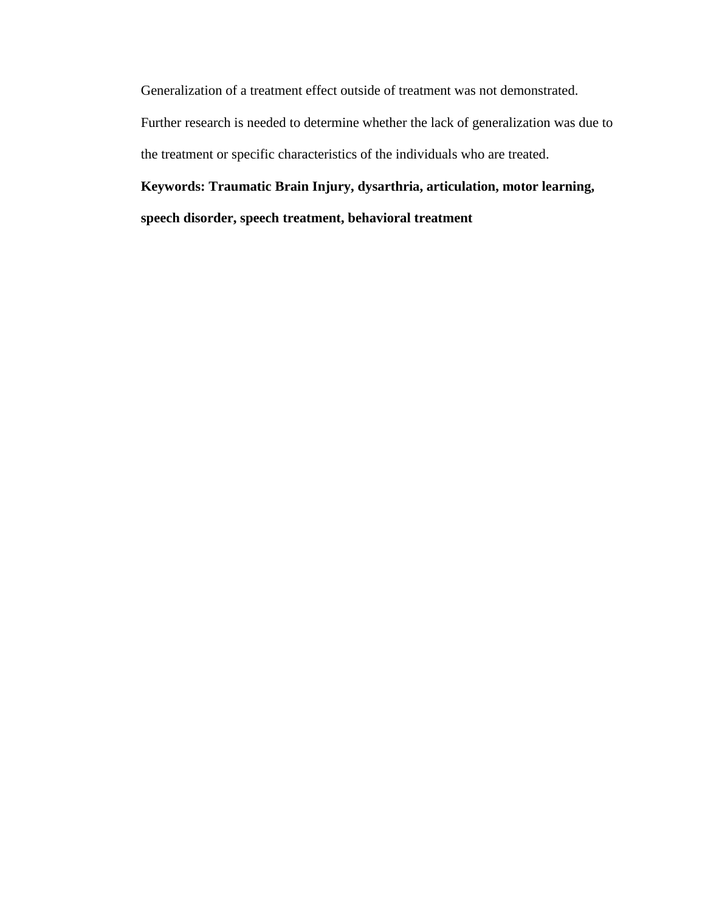Generalization of a treatment effect outside of treatment was not demonstrated.

Further research is needed to determine whether the lack of generalization was due to the treatment or specific characteristics of the individuals who are treated.

# **Keywords: Traumatic Brain Injury, dysarthria, articulation, motor learning,**

**speech disorder, speech treatment, behavioral treatment**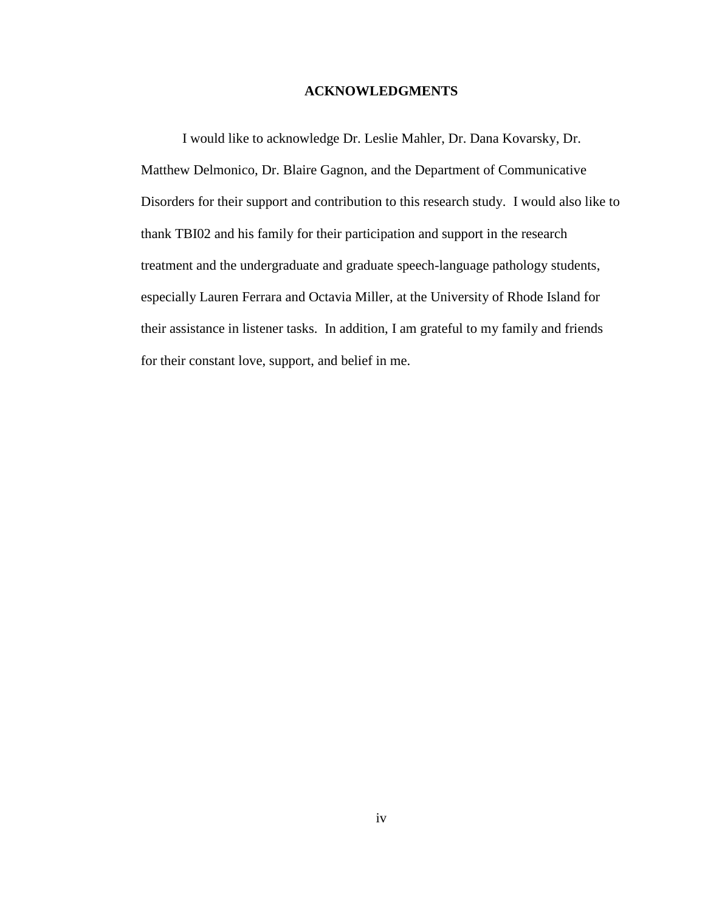#### **ACKNOWLEDGMENTS**

I would like to acknowledge Dr. Leslie Mahler, Dr. Dana Kovarsky, Dr. Matthew Delmonico, Dr. Blaire Gagnon, and the Department of Communicative Disorders for their support and contribution to this research study. I would also like to thank TBI02 and his family for their participation and support in the research treatment and the undergraduate and graduate speech-language pathology students, especially Lauren Ferrara and Octavia Miller, at the University of Rhode Island for their assistance in listener tasks. In addition, I am grateful to my family and friends for their constant love, support, and belief in me.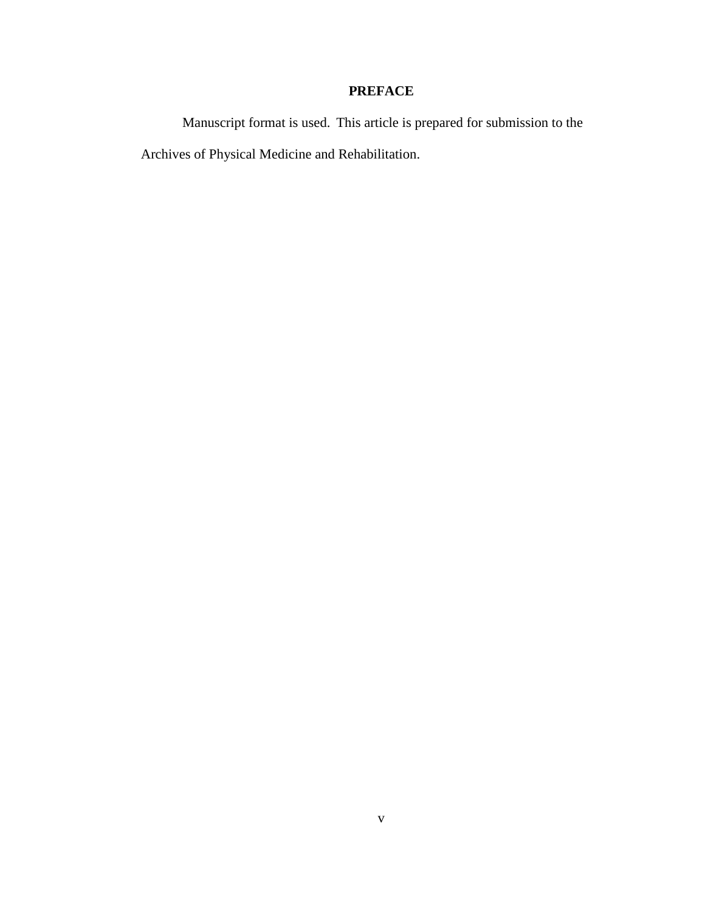## **PREFACE**

Manuscript format is used. This article is prepared for submission to the Archives of Physical Medicine and Rehabilitation.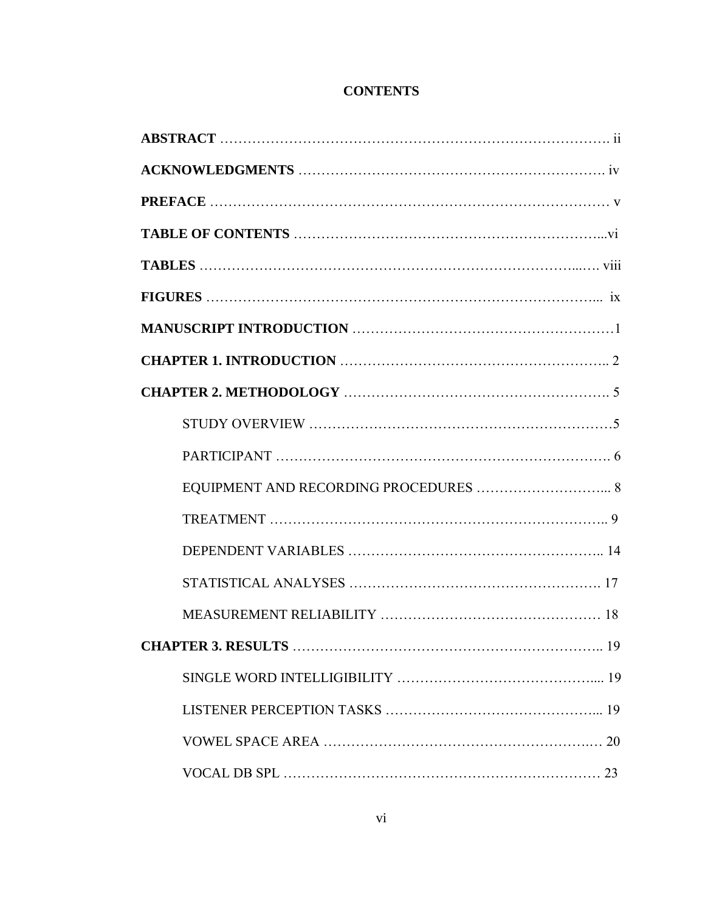## **CONTENTS**

| EQUIPMENT AND RECORDING PROCEDURES  8 |
|---------------------------------------|
|                                       |
|                                       |
|                                       |
|                                       |
| 19                                    |
|                                       |
|                                       |
|                                       |
| 23                                    |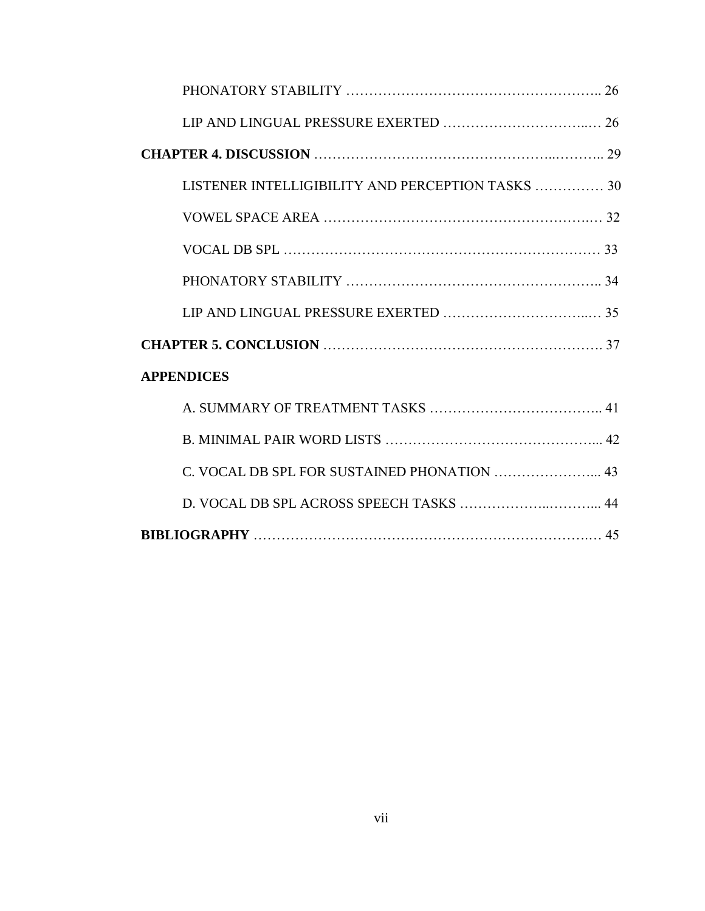| LISTENER INTELLIGIBILITY AND PERCEPTION TASKS  30 |  |
|---------------------------------------------------|--|
|                                                   |  |
|                                                   |  |
|                                                   |  |
|                                                   |  |
|                                                   |  |
| <b>APPENDICES</b>                                 |  |
|                                                   |  |
|                                                   |  |
| C. VOCAL DB SPL FOR SUSTAINED PHONATION  43       |  |
|                                                   |  |
|                                                   |  |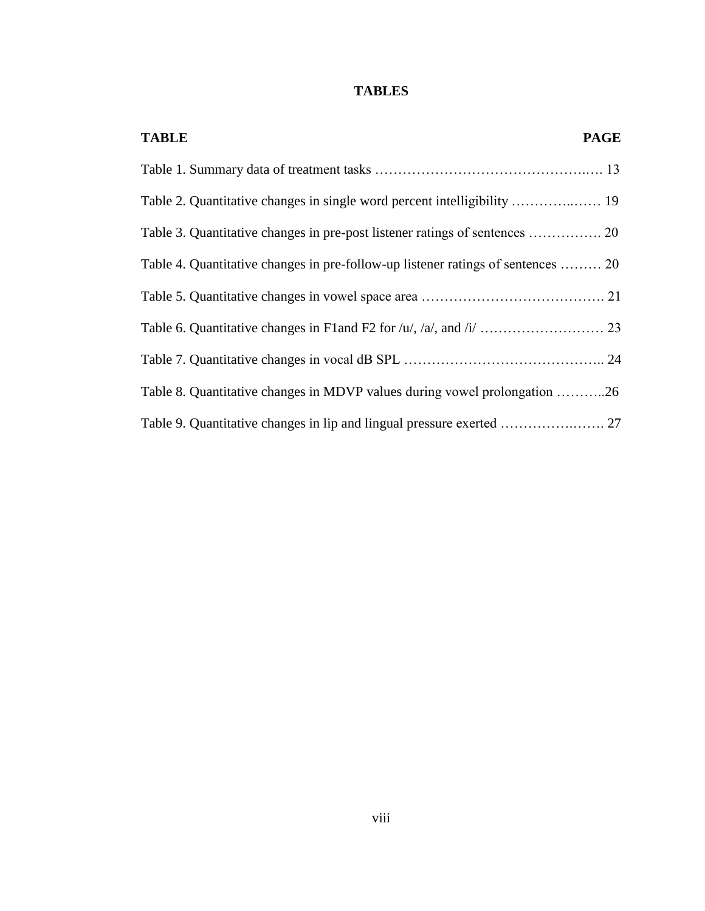## **TABLES**

| <b>TABLE</b>                                                                     | <b>PAGE</b> |
|----------------------------------------------------------------------------------|-------------|
|                                                                                  |             |
|                                                                                  |             |
|                                                                                  |             |
| Table 4. Quantitative changes in pre-follow-up listener ratings of sentences  20 |             |
|                                                                                  |             |
|                                                                                  |             |
|                                                                                  |             |
| Table 8. Quantitative changes in MDVP values during vowel prolongation 26        |             |
|                                                                                  |             |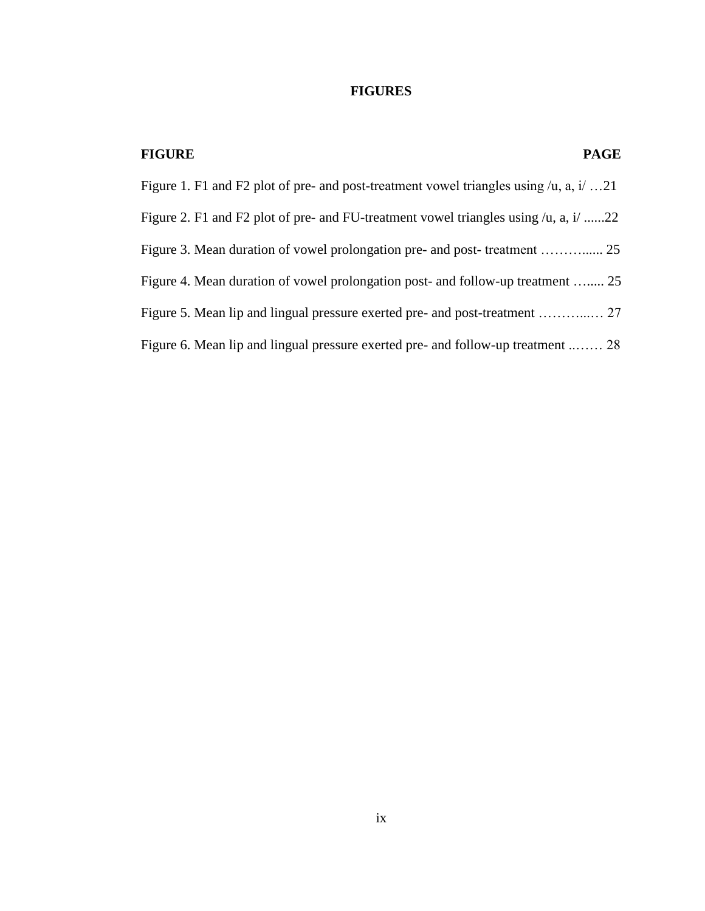## **FIGURES**

| <b>FIGURE</b><br><b>PAGE</b>                                                                    |
|-------------------------------------------------------------------------------------------------|
| Figure 1. F1 and F2 plot of pre- and post-treatment vowel triangles using $/u$ , a, i.e. 21     |
| Figure 2. F1 and F2 plot of pre- and FU-treatment vowel triangles using $/u$ , a, i $/\dots$ 22 |
|                                                                                                 |
| Figure 4. Mean duration of vowel prolongation post- and follow-up treatment  25                 |
|                                                                                                 |
| Figure 6. Mean lip and lingual pressure exerted pre- and follow-up treatment  28                |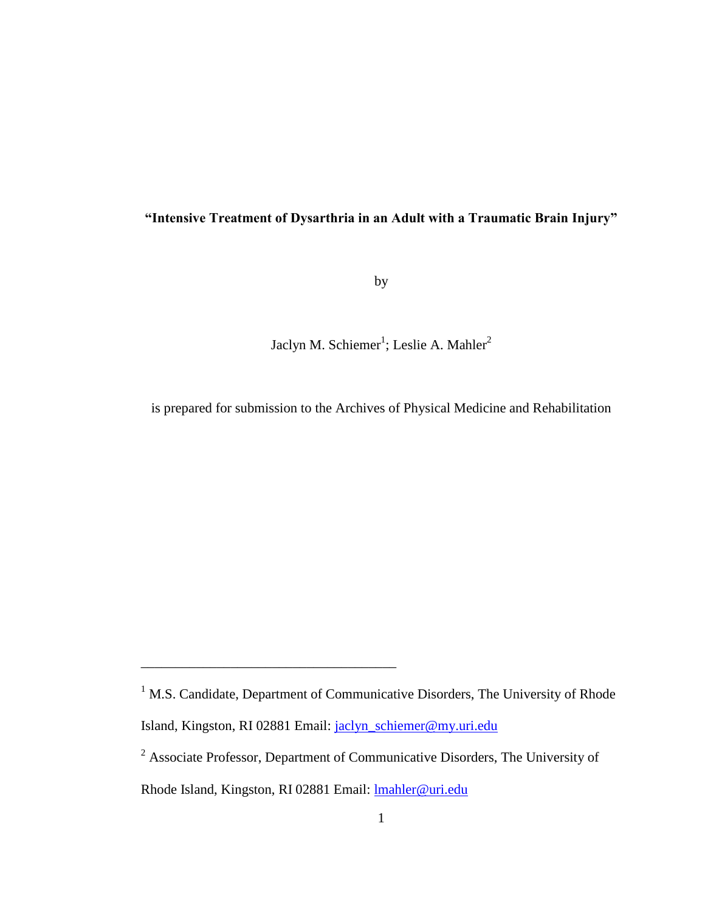## **"Intensive Treatment of Dysarthria in an Adult with a Traumatic Brain Injury"**

by

Jaclyn M. Schiemer<sup>1</sup>; Leslie A. Mahler<sup>2</sup>

is prepared for submission to the Archives of Physical Medicine and Rehabilitation

\_\_\_\_\_\_\_\_\_\_\_\_\_\_\_\_\_\_\_\_\_\_\_\_\_\_\_\_\_\_\_\_\_\_\_\_\_

<sup>&</sup>lt;sup>1</sup> M.S. Candidate, Department of Communicative Disorders, The University of Rhode Island, Kingston, RI 02881 Email: [jaclyn\\_schiemer@my.uri.edu](mailto:jaclyn_schiemer@my.uri.edu)

<sup>&</sup>lt;sup>2</sup> Associate Professor, Department of Communicative Disorders, The University of

Rhode Island, Kingston, RI 02881 Email: [lmahler@uri.edu](mailto:lmahler@uri.edu)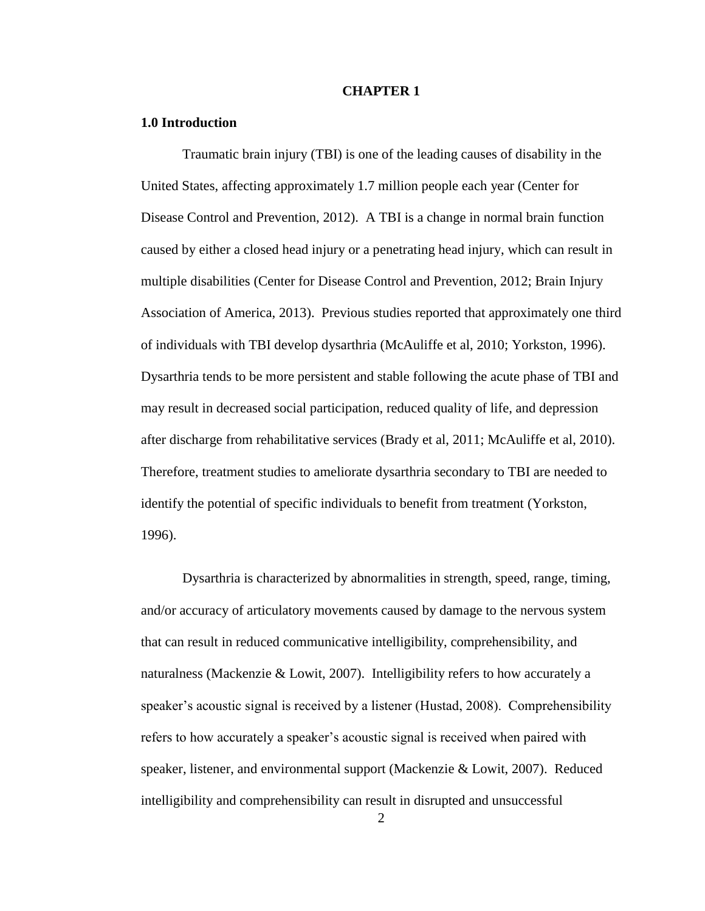#### **CHAPTER 1**

#### **1.0 Introduction**

Traumatic brain injury (TBI) is one of the leading causes of disability in the United States, affecting approximately 1.7 million people each year (Center for Disease Control and Prevention, 2012). A TBI is a change in normal brain function caused by either a closed head injury or a penetrating head injury, which can result in multiple disabilities (Center for Disease Control and Prevention, 2012; Brain Injury Association of America, 2013). Previous studies reported that approximately one third of individuals with TBI develop dysarthria (McAuliffe et al, 2010; Yorkston, 1996). Dysarthria tends to be more persistent and stable following the acute phase of TBI and may result in decreased social participation, reduced quality of life, and depression after discharge from rehabilitative services (Brady et al, 2011; McAuliffe et al, 2010). Therefore, treatment studies to ameliorate dysarthria secondary to TBI are needed to identify the potential of specific individuals to benefit from treatment (Yorkston, 1996).

Dysarthria is characterized by abnormalities in strength, speed, range, timing, and/or accuracy of articulatory movements caused by damage to the nervous system that can result in reduced communicative intelligibility, comprehensibility, and naturalness (Mackenzie  $& Lowit, 2007$ ). Intelligibility refers to how accurately a speaker's acoustic signal is received by a listener (Hustad, 2008). Comprehensibility refers to how accurately a speaker's acoustic signal is received when paired with speaker, listener, and environmental support (Mackenzie & Lowit, 2007). Reduced intelligibility and comprehensibility can result in disrupted and unsuccessful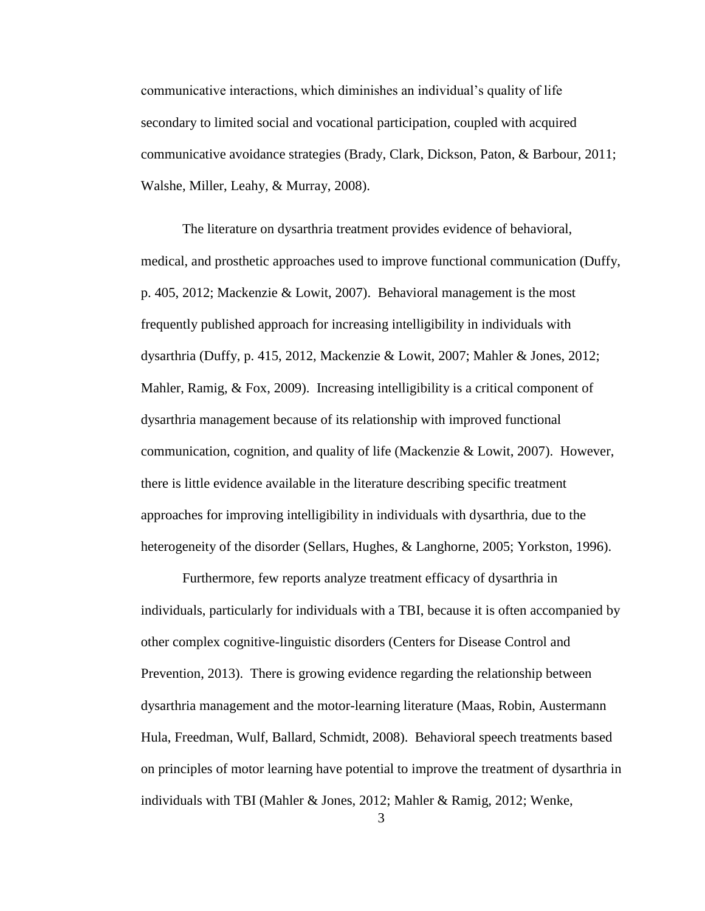communicative interactions, which diminishes an individual's quality of life secondary to limited social and vocational participation, coupled with acquired communicative avoidance strategies (Brady, Clark, Dickson, Paton, & Barbour, 2011; Walshe, Miller, Leahy, & Murray, 2008).

The literature on dysarthria treatment provides evidence of behavioral, medical, and prosthetic approaches used to improve functional communication (Duffy, p. 405, 2012; Mackenzie & Lowit, 2007). Behavioral management is the most frequently published approach for increasing intelligibility in individuals with dysarthria (Duffy, p. 415, 2012, Mackenzie & Lowit, 2007; Mahler & Jones, 2012; Mahler, Ramig,  $&$  Fox, 2009). Increasing intelligibility is a critical component of dysarthria management because of its relationship with improved functional communication, cognition, and quality of life (Mackenzie & Lowit, 2007). However, there is little evidence available in the literature describing specific treatment approaches for improving intelligibility in individuals with dysarthria, due to the heterogeneity of the disorder (Sellars, Hughes, & Langhorne, 2005; Yorkston, 1996).

Furthermore, few reports analyze treatment efficacy of dysarthria in individuals, particularly for individuals with a TBI, because it is often accompanied by other complex cognitive-linguistic disorders (Centers for Disease Control and Prevention, 2013). There is growing evidence regarding the relationship between dysarthria management and the motor-learning literature (Maas, Robin, Austermann Hula, Freedman, Wulf, Ballard, Schmidt, 2008). Behavioral speech treatments based on principles of motor learning have potential to improve the treatment of dysarthria in individuals with TBI (Mahler & Jones, 2012; Mahler & Ramig, 2012; Wenke,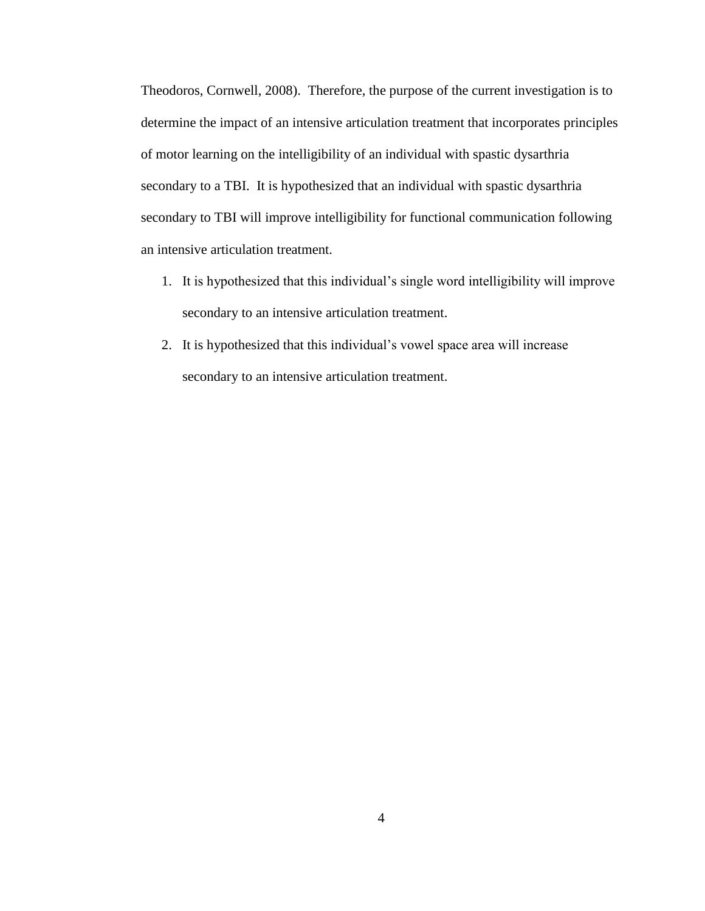Theodoros, Cornwell, 2008). Therefore, the purpose of the current investigation is to determine the impact of an intensive articulation treatment that incorporates principles of motor learning on the intelligibility of an individual with spastic dysarthria secondary to a TBI. It is hypothesized that an individual with spastic dysarthria secondary to TBI will improve intelligibility for functional communication following an intensive articulation treatment.

- 1. It is hypothesized that this individual's single word intelligibility will improve secondary to an intensive articulation treatment.
- 2. It is hypothesized that this individual's vowel space area will increase secondary to an intensive articulation treatment.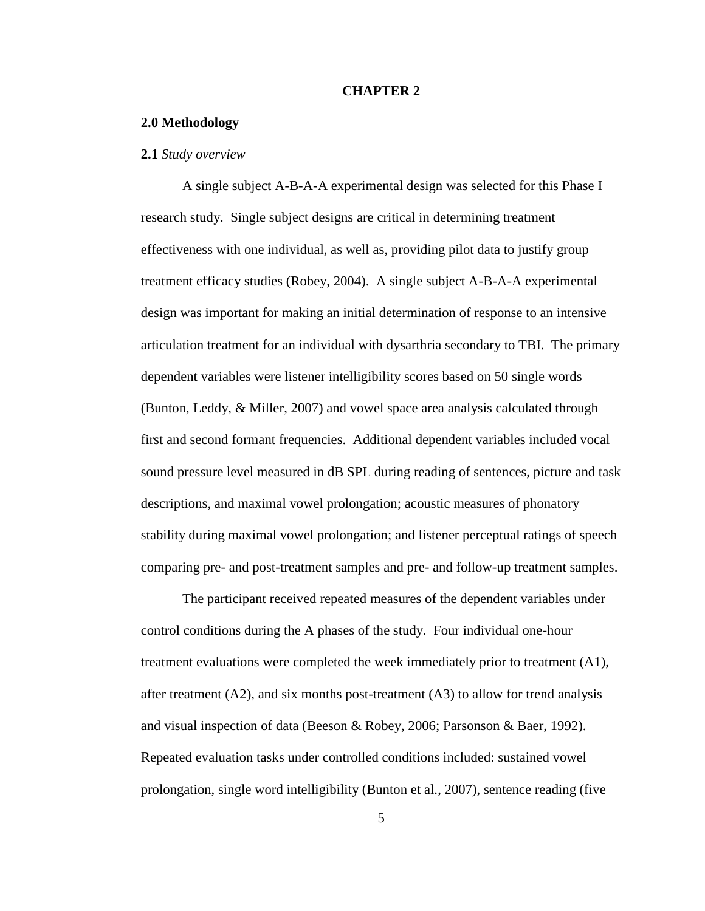#### **CHAPTER 2**

#### **2.0 Methodology**

#### **2.1** *Study overview*

A single subject A-B-A-A experimental design was selected for this Phase I research study. Single subject designs are critical in determining treatment effectiveness with one individual, as well as, providing pilot data to justify group treatment efficacy studies (Robey, 2004). A single subject A-B-A-A experimental design was important for making an initial determination of response to an intensive articulation treatment for an individual with dysarthria secondary to TBI. The primary dependent variables were listener intelligibility scores based on 50 single words (Bunton, Leddy, & Miller, 2007) and vowel space area analysis calculated through first and second formant frequencies. Additional dependent variables included vocal sound pressure level measured in dB SPL during reading of sentences, picture and task descriptions, and maximal vowel prolongation; acoustic measures of phonatory stability during maximal vowel prolongation; and listener perceptual ratings of speech comparing pre- and post-treatment samples and pre- and follow-up treatment samples.

The participant received repeated measures of the dependent variables under control conditions during the A phases of the study. Four individual one-hour treatment evaluations were completed the week immediately prior to treatment (A1), after treatment  $(A2)$ , and six months post-treatment  $(A3)$  to allow for trend analysis and visual inspection of data (Beeson & Robey, 2006; Parsonson & Baer, 1992). Repeated evaluation tasks under controlled conditions included: sustained vowel prolongation, single word intelligibility (Bunton et al., 2007), sentence reading (five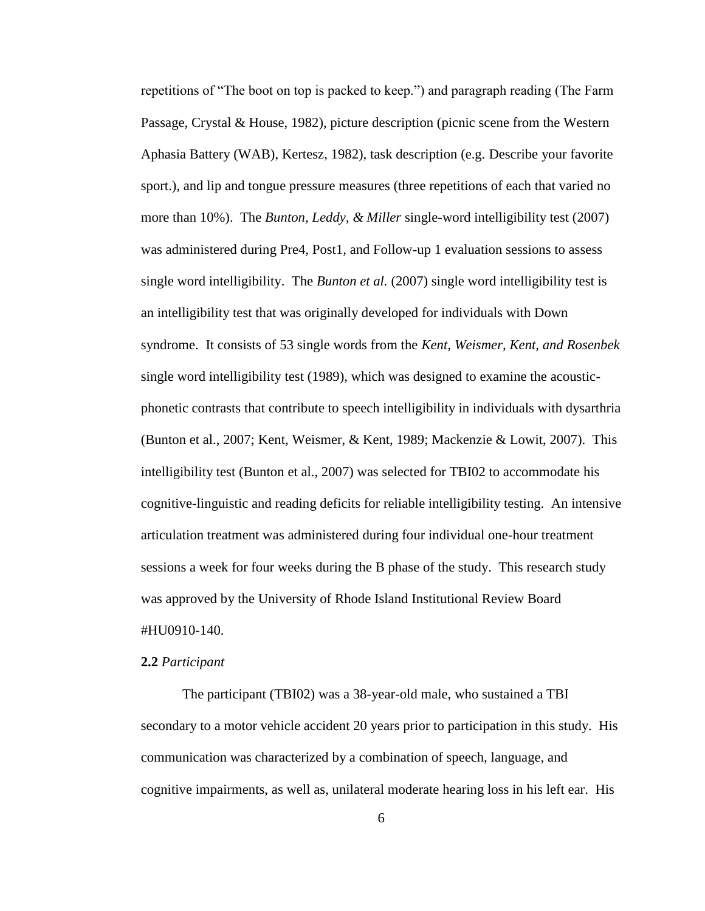repetitions of "The boot on top is packed to keep.") and paragraph reading (The Farm Passage, Crystal & House, 1982), picture description (picnic scene from the Western Aphasia Battery (WAB), Kertesz, 1982), task description (e.g. Describe your favorite sport.), and lip and tongue pressure measures (three repetitions of each that varied no more than 10%). The *Bunton, Leddy, & Miller* single-word intelligibility test (2007) was administered during Pre4, Post1, and Follow-up 1 evaluation sessions to assess single word intelligibility. The *Bunton et al.* (2007) single word intelligibility test is an intelligibility test that was originally developed for individuals with Down syndrome. It consists of 53 single words from the *Kent, Weismer, Kent, and Rosenbek* single word intelligibility test (1989), which was designed to examine the acousticphonetic contrasts that contribute to speech intelligibility in individuals with dysarthria (Bunton et al., 2007; Kent, Weismer, & Kent, 1989; Mackenzie & Lowit, 2007). This intelligibility test (Bunton et al., 2007) was selected for TBI02 to accommodate his cognitive-linguistic and reading deficits for reliable intelligibility testing. An intensive articulation treatment was administered during four individual one-hour treatment sessions a week for four weeks during the B phase of the study. This research study was approved by the University of Rhode Island Institutional Review Board #HU0910-140.

#### **2.2** *Participant*

The participant (TBI02) was a 38-year-old male, who sustained a TBI secondary to a motor vehicle accident 20 years prior to participation in this study. His communication was characterized by a combination of speech, language, and cognitive impairments, as well as, unilateral moderate hearing loss in his left ear. His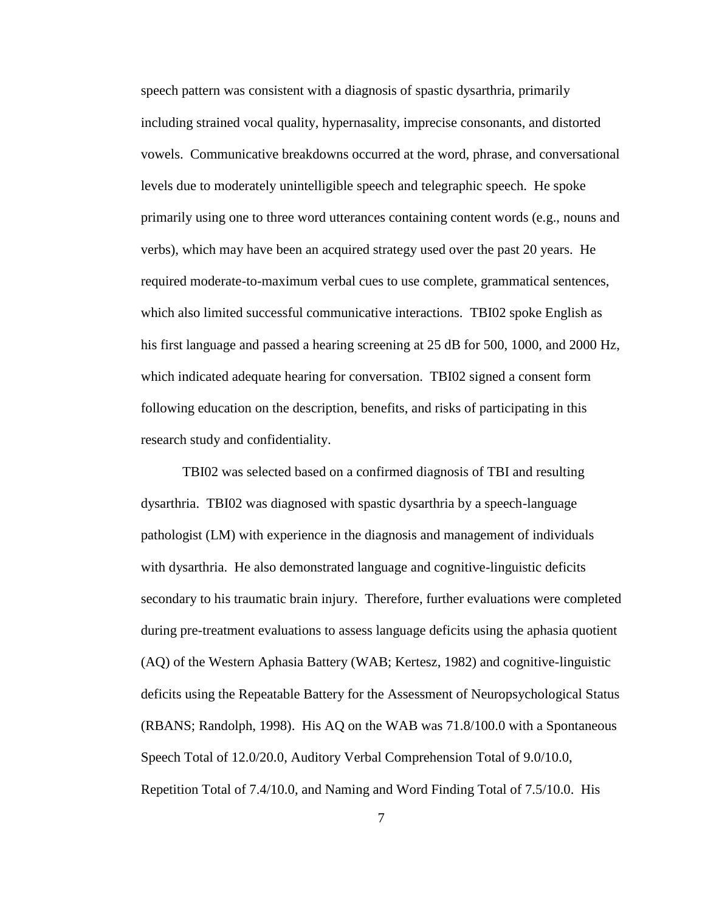speech pattern was consistent with a diagnosis of spastic dysarthria, primarily including strained vocal quality, hypernasality, imprecise consonants, and distorted vowels. Communicative breakdowns occurred at the word, phrase, and conversational levels due to moderately unintelligible speech and telegraphic speech. He spoke primarily using one to three word utterances containing content words (e.g., nouns and verbs), which may have been an acquired strategy used over the past 20 years. He required moderate-to-maximum verbal cues to use complete, grammatical sentences, which also limited successful communicative interactions. TBI02 spoke English as his first language and passed a hearing screening at 25 dB for 500, 1000, and 2000 Hz, which indicated adequate hearing for conversation. TBI02 signed a consent form following education on the description, benefits, and risks of participating in this research study and confidentiality.

TBI02 was selected based on a confirmed diagnosis of TBI and resulting dysarthria. TBI02 was diagnosed with spastic dysarthria by a speech-language pathologist (LM) with experience in the diagnosis and management of individuals with dysarthria. He also demonstrated language and cognitive-linguistic deficits secondary to his traumatic brain injury. Therefore, further evaluations were completed during pre-treatment evaluations to assess language deficits using the aphasia quotient (AQ) of the Western Aphasia Battery (WAB; Kertesz, 1982) and cognitive-linguistic deficits using the Repeatable Battery for the Assessment of Neuropsychological Status (RBANS; Randolph, 1998). His AQ on the WAB was 71.8/100.0 with a Spontaneous Speech Total of 12.0/20.0, Auditory Verbal Comprehension Total of 9.0/10.0, Repetition Total of 7.4/10.0, and Naming and Word Finding Total of 7.5/10.0. His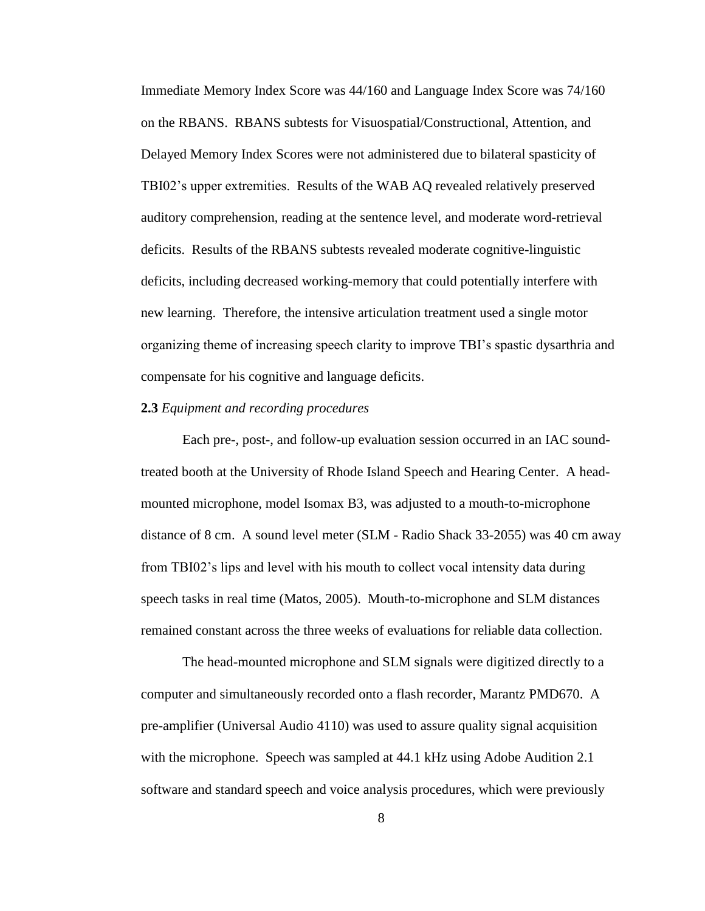Immediate Memory Index Score was 44/160 and Language Index Score was 74/160 on the RBANS. RBANS subtests for Visuospatial/Constructional, Attention, and Delayed Memory Index Scores were not administered due to bilateral spasticity of TBI02's upper extremities. Results of the WAB AQ revealed relatively preserved auditory comprehension, reading at the sentence level, and moderate word-retrieval deficits. Results of the RBANS subtests revealed moderate cognitive-linguistic deficits, including decreased working-memory that could potentially interfere with new learning. Therefore, the intensive articulation treatment used a single motor organizing theme of increasing speech clarity to improve TBI's spastic dysarthria and compensate for his cognitive and language deficits.

#### **2.3** *Equipment and recording procedures*

Each pre-, post-, and follow-up evaluation session occurred in an IAC soundtreated booth at the University of Rhode Island Speech and Hearing Center. A headmounted microphone, model Isomax B3, was adjusted to a mouth-to-microphone distance of 8 cm. A sound level meter (SLM - Radio Shack 33-2055) was 40 cm away from TBI02's lips and level with his mouth to collect vocal intensity data during speech tasks in real time (Matos, 2005). Mouth-to-microphone and SLM distances remained constant across the three weeks of evaluations for reliable data collection.

The head-mounted microphone and SLM signals were digitized directly to a computer and simultaneously recorded onto a flash recorder, Marantz PMD670. A pre-amplifier (Universal Audio 4110) was used to assure quality signal acquisition with the microphone. Speech was sampled at 44.1 kHz using Adobe Audition 2.1 software and standard speech and voice analysis procedures, which were previously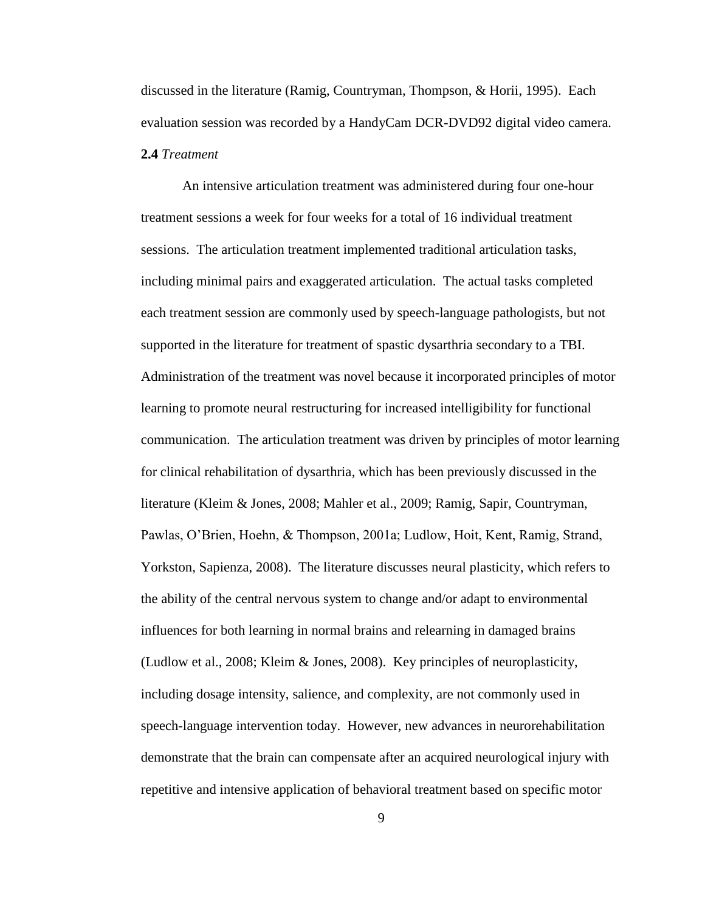discussed in the literature (Ramig, Countryman, Thompson, & Horii, 1995). Each evaluation session was recorded by a HandyCam DCR-DVD92 digital video camera. **2.4** *Treatment*

An intensive articulation treatment was administered during four one-hour treatment sessions a week for four weeks for a total of 16 individual treatment sessions. The articulation treatment implemented traditional articulation tasks, including minimal pairs and exaggerated articulation. The actual tasks completed each treatment session are commonly used by speech-language pathologists, but not supported in the literature for treatment of spastic dysarthria secondary to a TBI. Administration of the treatment was novel because it incorporated principles of motor learning to promote neural restructuring for increased intelligibility for functional communication. The articulation treatment was driven by principles of motor learning for clinical rehabilitation of dysarthria, which has been previously discussed in the literature (Kleim & Jones, 2008; Mahler et al., 2009; Ramig, Sapir, Countryman, Pawlas, O'Brien, Hoehn, & Thompson, 2001a; Ludlow, Hoit, Kent, Ramig, Strand, Yorkston, Sapienza, 2008). The literature discusses neural plasticity, which refers to the ability of the central nervous system to change and/or adapt to environmental influences for both learning in normal brains and relearning in damaged brains (Ludlow et al., 2008; Kleim & Jones, 2008). Key principles of neuroplasticity, including dosage intensity, salience, and complexity, are not commonly used in speech-language intervention today. However, new advances in neurorehabilitation demonstrate that the brain can compensate after an acquired neurological injury with repetitive and intensive application of behavioral treatment based on specific motor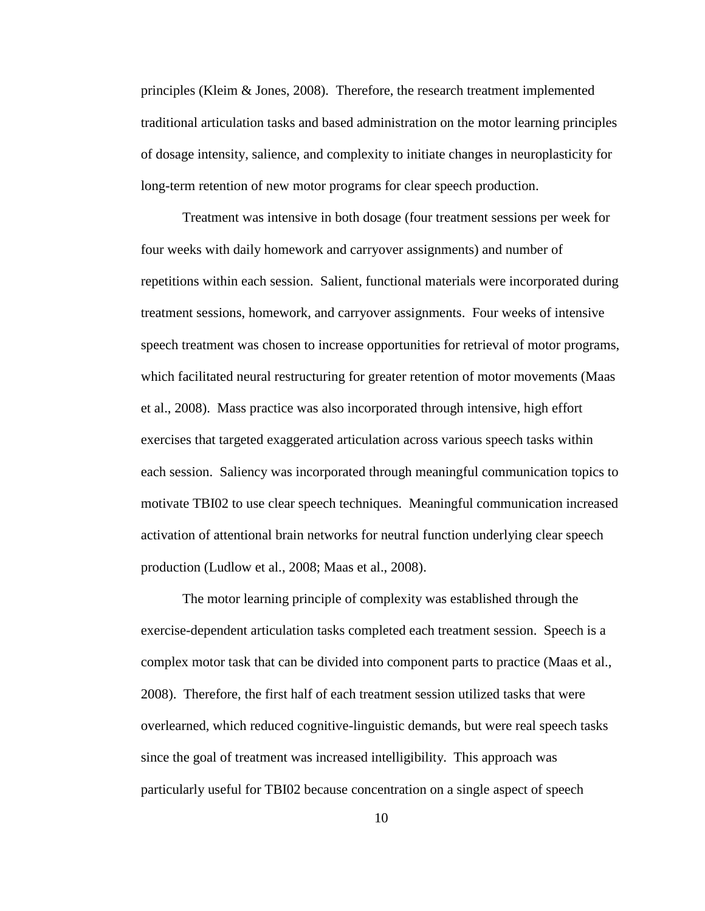principles (Kleim & Jones, 2008). Therefore, the research treatment implemented traditional articulation tasks and based administration on the motor learning principles of dosage intensity, salience, and complexity to initiate changes in neuroplasticity for long-term retention of new motor programs for clear speech production.

Treatment was intensive in both dosage (four treatment sessions per week for four weeks with daily homework and carryover assignments) and number of repetitions within each session. Salient, functional materials were incorporated during treatment sessions, homework, and carryover assignments. Four weeks of intensive speech treatment was chosen to increase opportunities for retrieval of motor programs, which facilitated neural restructuring for greater retention of motor movements (Maas et al., 2008). Mass practice was also incorporated through intensive, high effort exercises that targeted exaggerated articulation across various speech tasks within each session. Saliency was incorporated through meaningful communication topics to motivate TBI02 to use clear speech techniques. Meaningful communication increased activation of attentional brain networks for neutral function underlying clear speech production (Ludlow et al., 2008; Maas et al., 2008).

The motor learning principle of complexity was established through the exercise-dependent articulation tasks completed each treatment session. Speech is a complex motor task that can be divided into component parts to practice (Maas et al., 2008). Therefore, the first half of each treatment session utilized tasks that were overlearned, which reduced cognitive-linguistic demands, but were real speech tasks since the goal of treatment was increased intelligibility. This approach was particularly useful for TBI02 because concentration on a single aspect of speech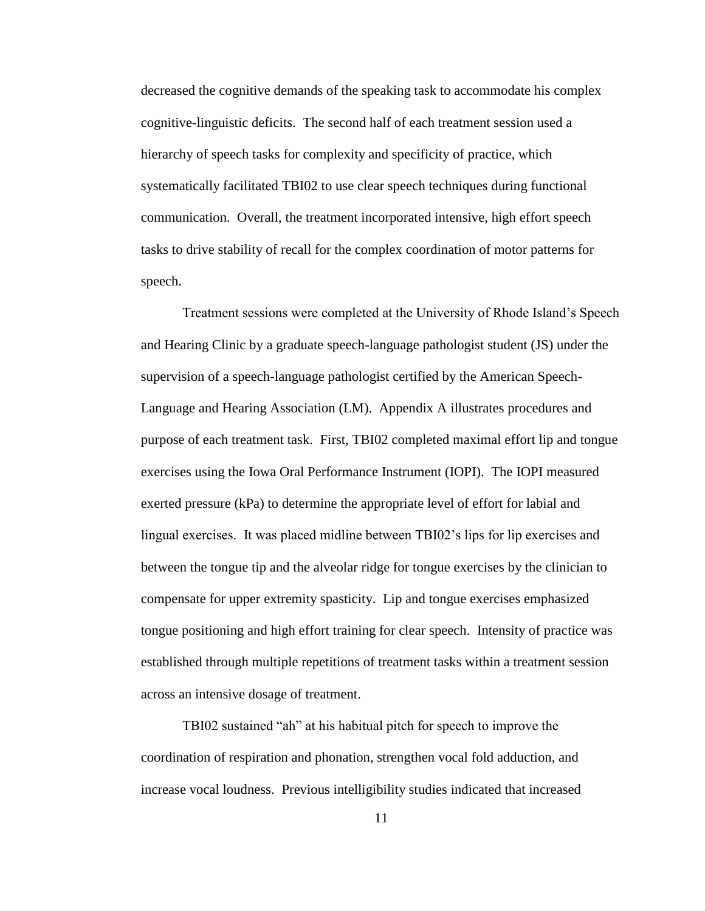decreased the cognitive demands of the speaking task to accommodate his complex cognitive-linguistic deficits. The second half of each treatment session used a hierarchy of speech tasks for complexity and specificity of practice, which systematically facilitated TBI02 to use clear speech techniques during functional communication. Overall, the treatment incorporated intensive, high effort speech tasks to drive stability of recall for the complex coordination of motor patterns for speech.

Treatment sessions were completed at the University of Rhode Island's Speech and Hearing Clinic by a graduate speech-language pathologist student (JS) under the supervision of a speech-language pathologist certified by the American Speech-Language and Hearing Association (LM). Appendix A illustrates procedures and purpose of each treatment task. First, TBI02 completed maximal effort lip and tongue exercises using the Iowa Oral Performance Instrument (IOPI). The IOPI measured exerted pressure (kPa) to determine the appropriate level of effort for labial and lingual exercises. It was placed midline between TBI02's lips for lip exercises and between the tongue tip and the alveolar ridge for tongue exercises by the clinician to compensate for upper extremity spasticity. Lip and tongue exercises emphasized tongue positioning and high effort training for clear speech. Intensity of practice was established through multiple repetitions of treatment tasks within a treatment session across an intensive dosage of treatment.

TBI02 sustained "ah" at his habitual pitch for speech to improve the coordination of respiration and phonation, strengthen vocal fold adduction, and increase vocal loudness. Previous intelligibility studies indicated that increased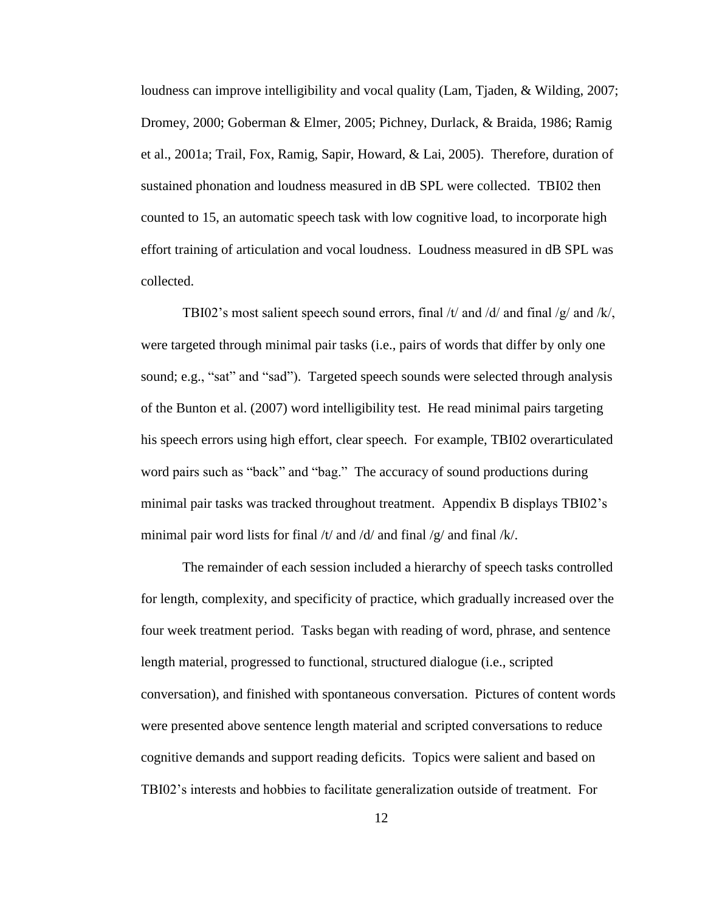loudness can improve intelligibility and vocal quality (Lam, Tjaden, & Wilding, 2007; Dromey, 2000; Goberman & Elmer, 2005; Pichney, Durlack, & Braida, 1986; Ramig et al., 2001a; Trail, Fox, Ramig, Sapir, Howard, & Lai, 2005). Therefore, duration of sustained phonation and loudness measured in dB SPL were collected. TBI02 then counted to 15, an automatic speech task with low cognitive load, to incorporate high effort training of articulation and vocal loudness. Loudness measured in dB SPL was collected.

TBI02's most salient speech sound errors, final  $/t$  and  $/d$  and final  $/g$  and  $/k$ , were targeted through minimal pair tasks (i.e., pairs of words that differ by only one sound; e.g., "sat" and "sad"). Targeted speech sounds were selected through analysis of the Bunton et al. (2007) word intelligibility test. He read minimal pairs targeting his speech errors using high effort, clear speech. For example, TBI02 overarticulated word pairs such as "back" and "bag." The accuracy of sound productions during minimal pair tasks was tracked throughout treatment. Appendix B displays TBI02's minimal pair word lists for final /t/ and /d/ and final /g/ and final /k/.

The remainder of each session included a hierarchy of speech tasks controlled for length, complexity, and specificity of practice, which gradually increased over the four week treatment period. Tasks began with reading of word, phrase, and sentence length material, progressed to functional, structured dialogue (i.e., scripted conversation), and finished with spontaneous conversation. Pictures of content words were presented above sentence length material and scripted conversations to reduce cognitive demands and support reading deficits. Topics were salient and based on TBI02's interests and hobbies to facilitate generalization outside of treatment. For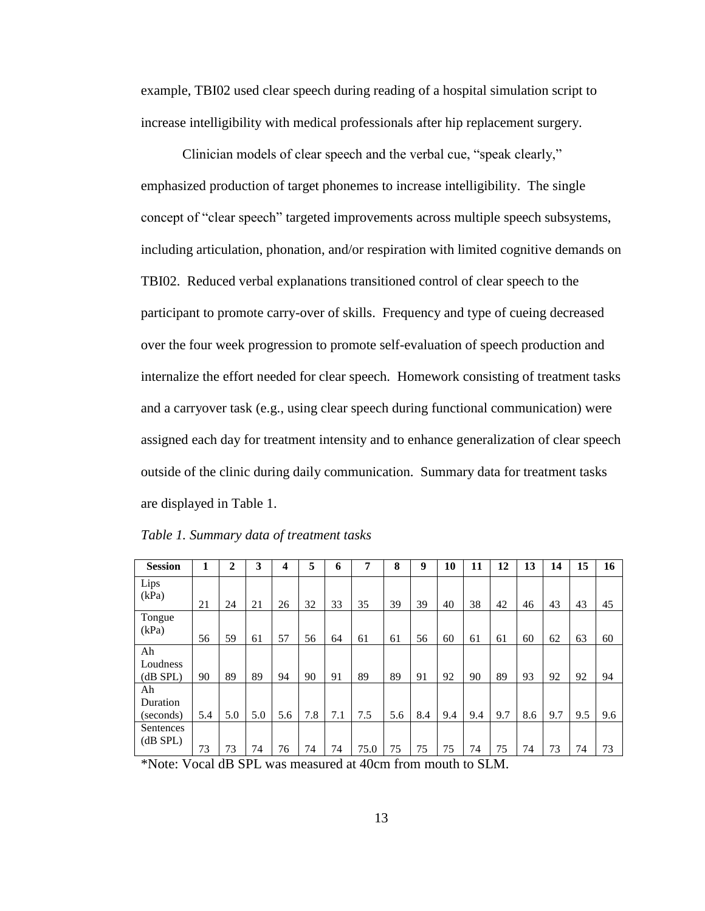example, TBI02 used clear speech during reading of a hospital simulation script to increase intelligibility with medical professionals after hip replacement surgery.

Clinician models of clear speech and the verbal cue, "speak clearly," emphasized production of target phonemes to increase intelligibility. The single concept of "clear speech" targeted improvements across multiple speech subsystems, including articulation, phonation, and/or respiration with limited cognitive demands on TBI02. Reduced verbal explanations transitioned control of clear speech to the participant to promote carry-over of skills. Frequency and type of cueing decreased over the four week progression to promote self-evaluation of speech production and internalize the effort needed for clear speech. Homework consisting of treatment tasks and a carryover task (e.g., using clear speech during functional communication) were assigned each day for treatment intensity and to enhance generalization of clear speech outside of the clinic during daily communication. Summary data for treatment tasks are displayed in Table 1.

| <b>Session</b>                                                 | 1   | 2               | 3   | 4   | 5   | 6   | 7      | 8      | 9   | 10   | 11  | 12                   | 13  | 14  | 15  | 16  |
|----------------------------------------------------------------|-----|-----------------|-----|-----|-----|-----|--------|--------|-----|------|-----|----------------------|-----|-----|-----|-----|
| Lips                                                           |     |                 |     |     |     |     |        |        |     |      |     |                      |     |     |     |     |
| (kPa)                                                          | 21  | 24              | 21  | 26  | 32  | 33  | 35     | 39     | 39  | 40   | 38  | 42                   | 46  | 43  | 43  | 45  |
| Tongue                                                         |     |                 |     |     |     |     |        |        |     |      |     |                      |     |     |     |     |
| (kPa)                                                          | 56  | 59              | 61  | 57  | 56  | 64  | 61     | 61     | 56  | 60   | 61  | 61                   | 60  | 62  | 63  | 60  |
| Ah                                                             |     |                 |     |     |     |     |        |        |     |      |     |                      |     |     |     |     |
| Loudness                                                       |     |                 |     |     |     |     |        |        |     |      |     |                      |     |     |     |     |
| (dB SPL)                                                       | 90  | 89              | 89  | 94  | 90  | 91  | 89     | 89     | 91  | 92   | 90  | 89                   | 93  | 92  | 92  | 94  |
| Ah                                                             |     |                 |     |     |     |     |        |        |     |      |     |                      |     |     |     |     |
| Duration                                                       |     |                 |     |     |     |     |        |        |     |      |     |                      |     |     |     |     |
| (seconds)                                                      | 5.4 | 5.0             | 5.0 | 5.6 | 7.8 | 7.1 | 7.5    | 5.6    | 8.4 | 9.4  | 9.4 | 9.7                  | 8.6 | 9.7 | 9.5 | 9.6 |
| Sentences                                                      |     |                 |     |     |     |     |        |        |     |      |     |                      |     |     |     |     |
| $(dB$ SPL $)$                                                  | 73  | 73              | 74  | 76  | 74  | 74  | 75.0   | 75     | 75  | 75   | 74  | 75                   | 74  | 73  | 74  | 73  |
| $\mathbf{1} \cdot \mathbf{1} \cdot \mathbf{1}$<br>$\mathbf{r}$ |     | $1.372$ $0.727$ |     |     |     | п.  | $\sim$ | $\sim$ |     | - 11 |     | $\sim$ $\sim$ $\sim$ |     |     |     |     |

*Table 1. Summary data of treatment tasks*

\*Note: Vocal dB SPL was measured at 40cm from mouth to SLM.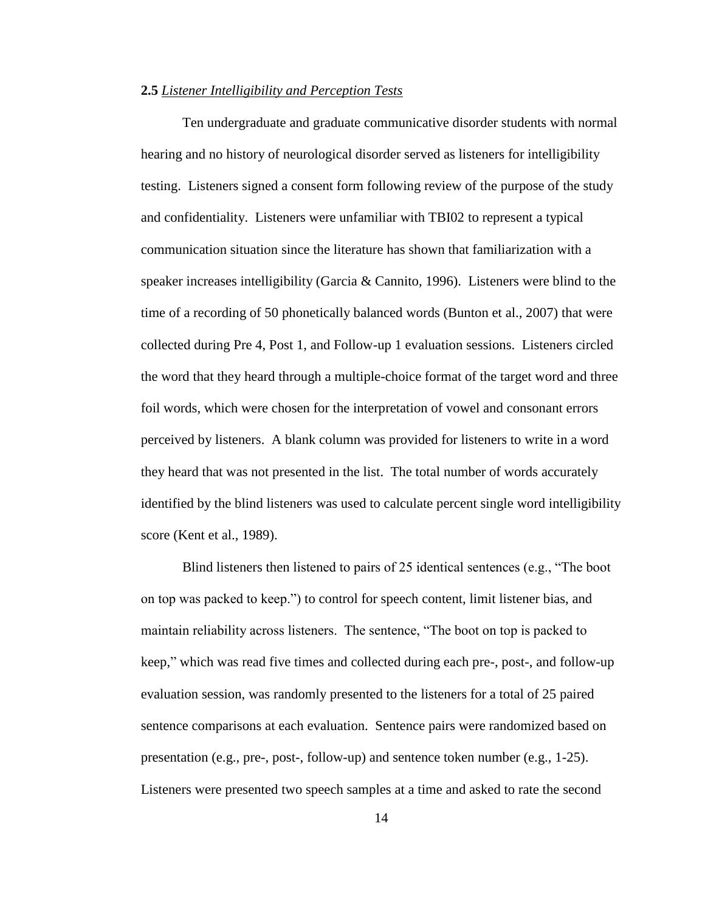#### **2.5** *Listener Intelligibility and Perception Tests*

Ten undergraduate and graduate communicative disorder students with normal hearing and no history of neurological disorder served as listeners for intelligibility testing. Listeners signed a consent form following review of the purpose of the study and confidentiality. Listeners were unfamiliar with TBI02 to represent a typical communication situation since the literature has shown that familiarization with a speaker increases intelligibility (Garcia & Cannito, 1996). Listeners were blind to the time of a recording of 50 phonetically balanced words (Bunton et al., 2007) that were collected during Pre 4, Post 1, and Follow-up 1 evaluation sessions. Listeners circled the word that they heard through a multiple-choice format of the target word and three foil words, which were chosen for the interpretation of vowel and consonant errors perceived by listeners. A blank column was provided for listeners to write in a word they heard that was not presented in the list. The total number of words accurately identified by the blind listeners was used to calculate percent single word intelligibility score (Kent et al., 1989).

Blind listeners then listened to pairs of 25 identical sentences (e.g., "The boot on top was packed to keep.") to control for speech content, limit listener bias, and maintain reliability across listeners. The sentence, "The boot on top is packed to keep," which was read five times and collected during each pre-, post-, and follow-up evaluation session, was randomly presented to the listeners for a total of 25 paired sentence comparisons at each evaluation. Sentence pairs were randomized based on presentation (e.g., pre-, post-, follow-up) and sentence token number (e.g., 1-25). Listeners were presented two speech samples at a time and asked to rate the second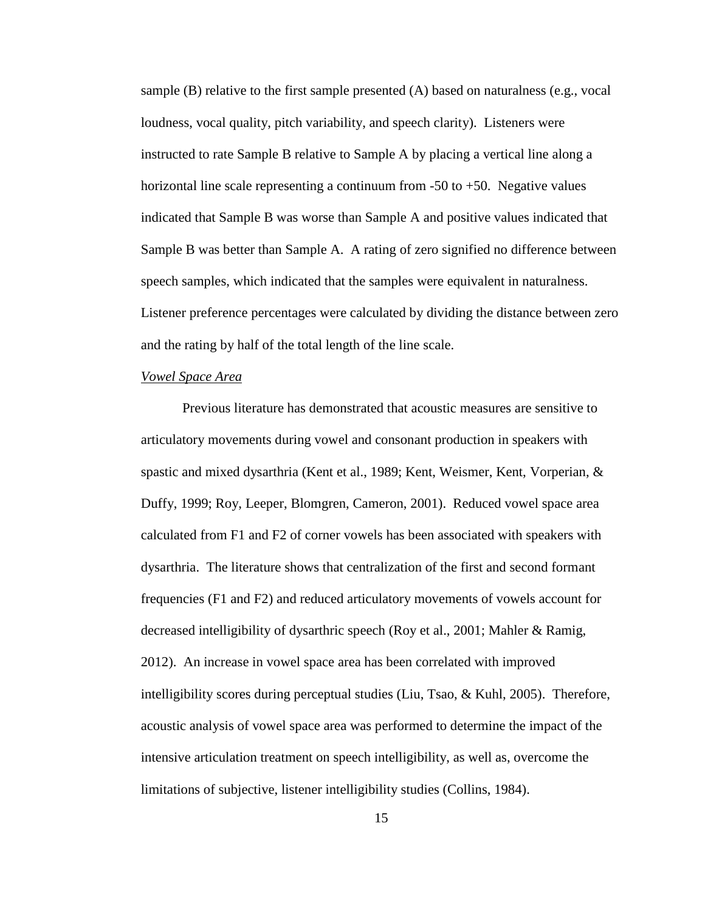sample (B) relative to the first sample presented (A) based on naturalness (e.g., vocal loudness, vocal quality, pitch variability, and speech clarity). Listeners were instructed to rate Sample B relative to Sample A by placing a vertical line along a horizontal line scale representing a continuum from -50 to +50. Negative values indicated that Sample B was worse than Sample A and positive values indicated that Sample B was better than Sample A. A rating of zero signified no difference between speech samples, which indicated that the samples were equivalent in naturalness. Listener preference percentages were calculated by dividing the distance between zero and the rating by half of the total length of the line scale.

#### *Vowel Space Area*

Previous literature has demonstrated that acoustic measures are sensitive to articulatory movements during vowel and consonant production in speakers with spastic and mixed dysarthria (Kent et al., 1989; Kent, Weismer, Kent, Vorperian, & Duffy, 1999; Roy, Leeper, Blomgren, Cameron, 2001). Reduced vowel space area calculated from F1 and F2 of corner vowels has been associated with speakers with dysarthria. The literature shows that centralization of the first and second formant frequencies (F1 and F2) and reduced articulatory movements of vowels account for decreased intelligibility of dysarthric speech (Roy et al., 2001; Mahler & Ramig, 2012). An increase in vowel space area has been correlated with improved intelligibility scores during perceptual studies (Liu, Tsao, & Kuhl, 2005). Therefore, acoustic analysis of vowel space area was performed to determine the impact of the intensive articulation treatment on speech intelligibility, as well as, overcome the limitations of subjective, listener intelligibility studies (Collins, 1984).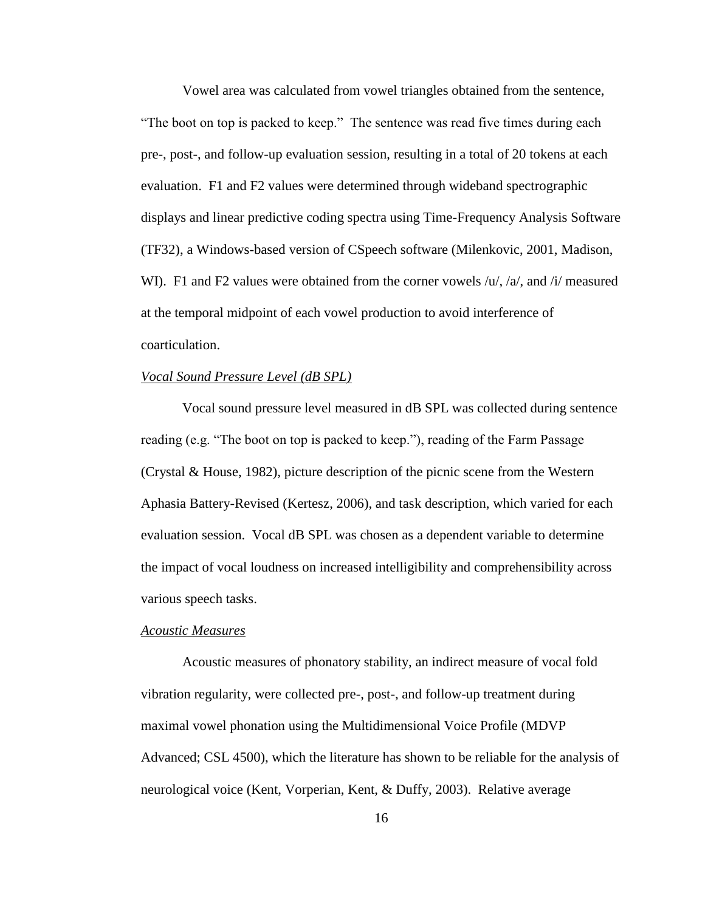Vowel area was calculated from vowel triangles obtained from the sentence, "The boot on top is packed to keep." The sentence was read five times during each pre-, post-, and follow-up evaluation session, resulting in a total of 20 tokens at each evaluation. F1 and F2 values were determined through wideband spectrographic displays and linear predictive coding spectra using Time-Frequency Analysis Software (TF32), a Windows-based version of CSpeech software (Milenkovic, 2001, Madison, WI). F1 and F2 values were obtained from the corner vowels /u/, /a/, and /i/ measured at the temporal midpoint of each vowel production to avoid interference of coarticulation.

#### *Vocal Sound Pressure Level (dB SPL)*

Vocal sound pressure level measured in dB SPL was collected during sentence reading (e.g. "The boot on top is packed to keep."), reading of the Farm Passage (Crystal & House, 1982), picture description of the picnic scene from the Western Aphasia Battery-Revised (Kertesz, 2006), and task description, which varied for each evaluation session. Vocal dB SPL was chosen as a dependent variable to determine the impact of vocal loudness on increased intelligibility and comprehensibility across various speech tasks.

#### *Acoustic Measures*

Acoustic measures of phonatory stability, an indirect measure of vocal fold vibration regularity, were collected pre-, post-, and follow-up treatment during maximal vowel phonation using the Multidimensional Voice Profile (MDVP Advanced; CSL 4500), which the literature has shown to be reliable for the analysis of neurological voice (Kent, Vorperian, Kent, & Duffy, 2003). Relative average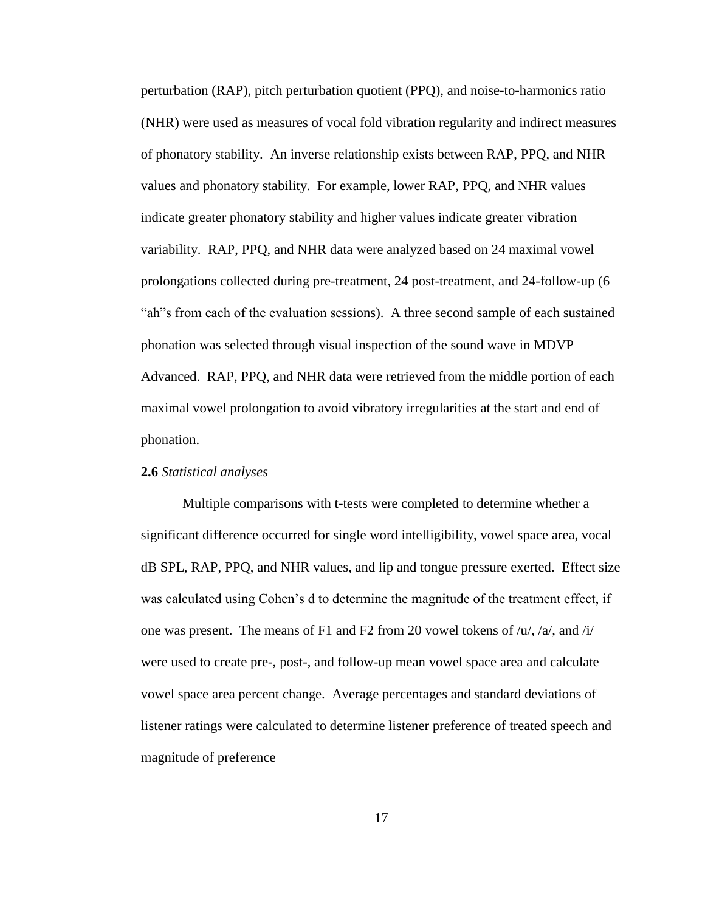perturbation (RAP), pitch perturbation quotient (PPQ), and noise-to-harmonics ratio (NHR) were used as measures of vocal fold vibration regularity and indirect measures of phonatory stability. An inverse relationship exists between RAP, PPQ, and NHR values and phonatory stability. For example, lower RAP, PPQ, and NHR values indicate greater phonatory stability and higher values indicate greater vibration variability. RAP, PPQ, and NHR data were analyzed based on 24 maximal vowel prolongations collected during pre-treatment, 24 post-treatment, and 24-follow-up (6 "ah"s from each of the evaluation sessions). A three second sample of each sustained phonation was selected through visual inspection of the sound wave in MDVP Advanced. RAP, PPQ, and NHR data were retrieved from the middle portion of each maximal vowel prolongation to avoid vibratory irregularities at the start and end of phonation.

#### **2.6** *Statistical analyses*

Multiple comparisons with t-tests were completed to determine whether a significant difference occurred for single word intelligibility, vowel space area, vocal dB SPL, RAP, PPQ, and NHR values, and lip and tongue pressure exerted. Effect size was calculated using Cohen's d to determine the magnitude of the treatment effect, if one was present. The means of F1 and F2 from 20 vowel tokens of  $/u/2/a$ , and  $\dot{u}/$ were used to create pre-, post-, and follow-up mean vowel space area and calculate vowel space area percent change. Average percentages and standard deviations of listener ratings were calculated to determine listener preference of treated speech and magnitude of preference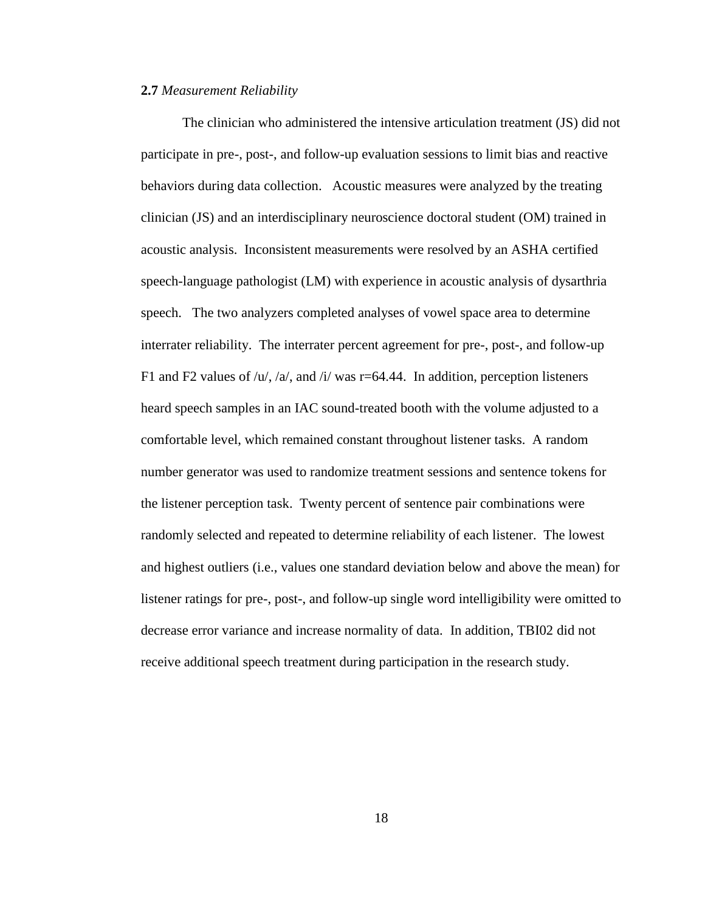#### **2.7** *Measurement Reliability*

The clinician who administered the intensive articulation treatment (JS) did not participate in pre-, post-, and follow-up evaluation sessions to limit bias and reactive behaviors during data collection. Acoustic measures were analyzed by the treating clinician (JS) and an interdisciplinary neuroscience doctoral student (OM) trained in acoustic analysis. Inconsistent measurements were resolved by an ASHA certified speech-language pathologist (LM) with experience in acoustic analysis of dysarthria speech. The two analyzers completed analyses of vowel space area to determine interrater reliability. The interrater percent agreement for pre-, post-, and follow-up F1 and F2 values of  $/u$ ,  $/a$ , and  $/t$  was r=64.44. In addition, perception listeners heard speech samples in an IAC sound-treated booth with the volume adjusted to a comfortable level, which remained constant throughout listener tasks. A random number generator was used to randomize treatment sessions and sentence tokens for the listener perception task. Twenty percent of sentence pair combinations were randomly selected and repeated to determine reliability of each listener. The lowest and highest outliers (i.e., values one standard deviation below and above the mean) for listener ratings for pre-, post-, and follow-up single word intelligibility were omitted to decrease error variance and increase normality of data. In addition, TBI02 did not receive additional speech treatment during participation in the research study.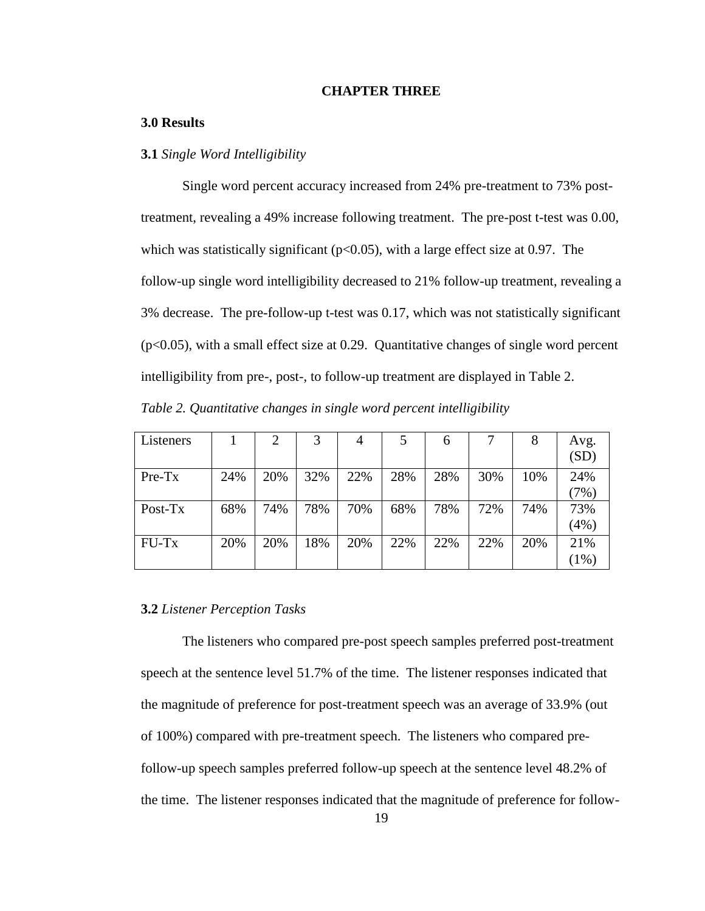#### **CHAPTER THREE**

#### **3.0 Results**

#### **3.1** *Single Word Intelligibility*

Single word percent accuracy increased from 24% pre-treatment to 73% posttreatment, revealing a 49% increase following treatment. The pre-post t-test was 0.00, which was statistically significant ( $p<0.05$ ), with a large effect size at 0.97. The follow-up single word intelligibility decreased to 21% follow-up treatment, revealing a 3% decrease. The pre-follow-up t-test was 0.17, which was not statistically significant (p<0.05), with a small effect size at 0.29. Quantitative changes of single word percent intelligibility from pre-, post-, to follow-up treatment are displayed in Table 2. *Table 2. Quantitative changes in single word percent intelligibility*

| Listeners |     | 2   | 3   | 4   |     | 6   |     | 8   | Avg. |
|-----------|-----|-----|-----|-----|-----|-----|-----|-----|------|
|           |     |     |     |     |     |     |     |     | (SD) |
| $Pre-Tx$  | 24% | 20% | 32% | 22% | 28% | 28% | 30% | 10% | 24%  |
|           |     |     |     |     |     |     |     |     | (7%) |
| Post-Tx   | 68% | 74% | 78% | 70% | 68% | 78% | 72% | 74% | 73%  |
|           |     |     |     |     |     |     |     |     | (4%) |
| FU-Tx     | 20% | 20% | 18% | 20% | 22% | 22% | 22% | 20% | 21%  |
|           |     |     |     |     |     |     |     |     | (1%) |

#### **3.2** *Listener Perception Tasks*

The listeners who compared pre-post speech samples preferred post-treatment speech at the sentence level 51.7% of the time. The listener responses indicated that the magnitude of preference for post-treatment speech was an average of 33.9% (out of 100%) compared with pre-treatment speech. The listeners who compared prefollow-up speech samples preferred follow-up speech at the sentence level 48.2% of the time. The listener responses indicated that the magnitude of preference for follow-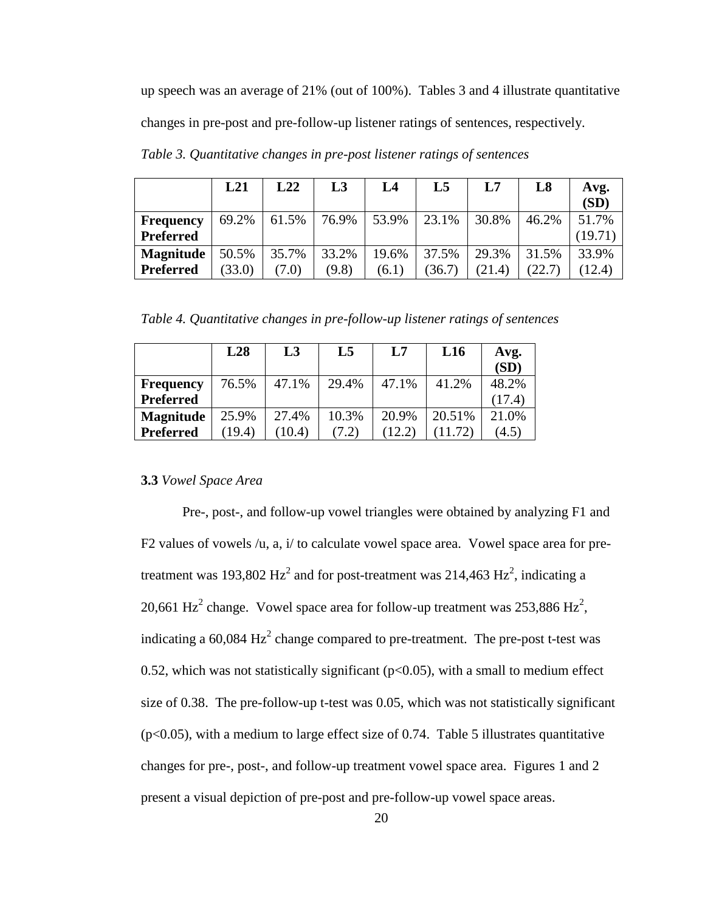up speech was an average of 21% (out of 100%). Tables 3 and 4 illustrate quantitative changes in pre-post and pre-follow-up listener ratings of sentences, respectively.

|                  | L21    | L22   | L3    | L4    | L5     | L7     | L8     | Avg.<br>(SD) |
|------------------|--------|-------|-------|-------|--------|--------|--------|--------------|
| <b>Frequency</b> | 69.2%  | 61.5% | 76.9% | 53.9% | 23.1%  | 30.8%  | 46.2%  | 51.7%        |
| Preferred        |        |       |       |       |        |        |        | (19.71)      |
| <b>Magnitude</b> | 50.5%  | 35.7% | 33.2% | 19.6% | 37.5%  | 29.3%  | 31.5%  | 33.9%        |
| Preferred        | (33.0) | (7.0) | (9.8) | (6.1) | (36.7) | (21.4) | (22.7) | (12.4)       |

*Table 3. Quantitative changes in pre-post listener ratings of sentences*

*Table 4. Quantitative changes in pre-follow-up listener ratings of sentences*

|                  | L28    | L3    | L5    | L7    | L16    | Avg.   |
|------------------|--------|-------|-------|-------|--------|--------|
|                  |        |       |       |       |        | (SD)   |
| <b>Frequency</b> | 76.5%  | 47.1% | 29.4% | 47.1% | 41.2%  | 48.2%  |
| <b>Preferred</b> |        |       |       |       |        | (17.4) |
| <b>Magnitude</b> | 25.9%  | 27.4% | 10.3% | 20.9% | 20.51% | 21.0%  |
| <b>Preferred</b> | (19.4) | 10.4) |       | 12.2  |        | (4.5)  |

#### **3.3** *Vowel Space Area*

Pre-, post-, and follow-up vowel triangles were obtained by analyzing F1 and F2 values of vowels /u, a, i/ to calculate vowel space area. Vowel space area for pretreatment was 193,802 Hz<sup>2</sup> and for post-treatment was 214,463 Hz<sup>2</sup>, indicating a 20,661 Hz<sup>2</sup> change. Vowel space area for follow-up treatment was 253,886 Hz<sup>2</sup>, indicating a 60,084  $Hz^2$  change compared to pre-treatment. The pre-post t-test was 0.52, which was not statistically significant ( $p<0.05$ ), with a small to medium effect size of 0.38. The pre-follow-up t-test was 0.05, which was not statistically significant  $(p<0.05)$ , with a medium to large effect size of 0.74. Table 5 illustrates quantitative changes for pre-, post-, and follow-up treatment vowel space area. Figures 1 and 2 present a visual depiction of pre-post and pre-follow-up vowel space areas.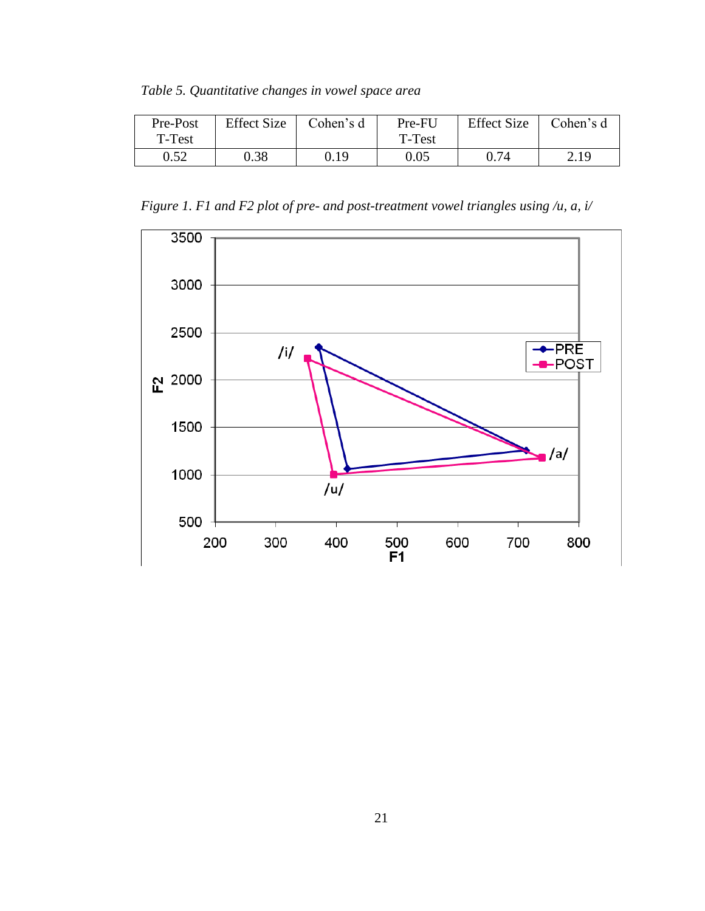*Table 5. Quantitative changes in vowel space area*

| Pre-Post | <b>Effect Size</b> | Cohen's d | Pre-FU | <b>Effect Size</b> | Cohen's d |
|----------|--------------------|-----------|--------|--------------------|-----------|
| T-Test   |                    |           | T-Test |                    |           |
| 0.52     | 0.38               | 0.19      | 0.05   | 0.74               | 2.19      |

*Figure 1. F1 and F2 plot of pre- and post-treatment vowel triangles using /u, a, i/*

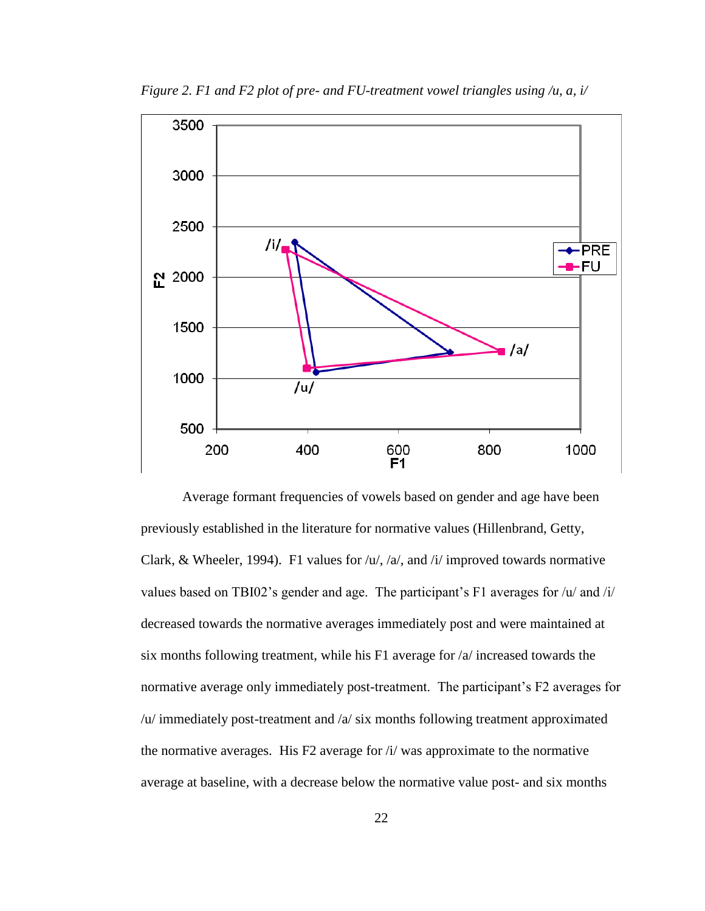

*Figure 2. F1 and F2 plot of pre- and FU-treatment vowel triangles using /u, a, i/*

Average formant frequencies of vowels based on gender and age have been previously established in the literature for normative values (Hillenbrand, Getty, Clark, & Wheeler, 1994). F1 values for  $/u/$ ,  $/a/$ , and  $/i/$  improved towards normative values based on TBI02's gender and age. The participant's F1 averages for /u/ and /i/ decreased towards the normative averages immediately post and were maintained at six months following treatment, while his F1 average for /a/ increased towards the normative average only immediately post-treatment. The participant's F2 averages for /u/ immediately post-treatment and /a/ six months following treatment approximated the normative averages. His F2 average for /i/ was approximate to the normative average at baseline, with a decrease below the normative value post- and six months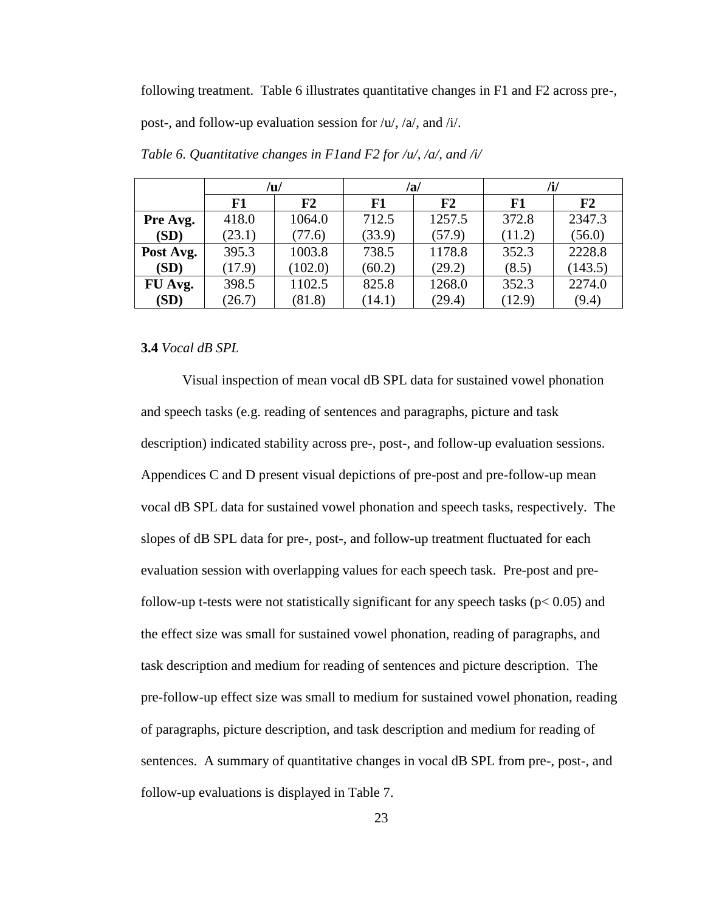following treatment. Table 6 illustrates quantitative changes in F1 and F2 across pre-,

post-, and follow-up evaluation session for /u/, /a/, and /i/.

|           |        | /u/     |        | /a/            |        | /i/     |  |  |
|-----------|--------|---------|--------|----------------|--------|---------|--|--|
|           | F1     | F2      | F1     | F <sub>2</sub> | F1     | F2      |  |  |
| Pre Avg.  | 418.0  | 1064.0  | 712.5  | 1257.5         | 372.8  | 2347.3  |  |  |
| (SD)      | (23.1) | (77.6)  | (33.9) | (57.9)         | (11.2) | (56.0)  |  |  |
| Post Avg. | 395.3  | 1003.8  | 738.5  | 1178.8         | 352.3  | 2228.8  |  |  |
| (SD)      | (17.9) | (102.0) | (60.2) | (29.2)         | (8.5)  | (143.5) |  |  |
| FU Avg.   | 398.5  | 1102.5  | 825.8  | 1268.0         | 352.3  | 2274.0  |  |  |
| (SD)      | (26.7) | (81.8)  | (14.1) | (29.4)         | (12.9) | (9.4)   |  |  |

*Table 6. Quantitative changes in F1and F2 for /u/, /a/, and /i/*

#### **3.4** *Vocal dB SPL*

Visual inspection of mean vocal dB SPL data for sustained vowel phonation and speech tasks (e.g. reading of sentences and paragraphs, picture and task description) indicated stability across pre-, post-, and follow-up evaluation sessions. Appendices C and D present visual depictions of pre-post and pre-follow-up mean vocal dB SPL data for sustained vowel phonation and speech tasks, respectively. The slopes of dB SPL data for pre-, post-, and follow-up treatment fluctuated for each evaluation session with overlapping values for each speech task. Pre-post and prefollow-up t-tests were not statistically significant for any speech tasks ( $p < 0.05$ ) and the effect size was small for sustained vowel phonation, reading of paragraphs, and task description and medium for reading of sentences and picture description. The pre-follow-up effect size was small to medium for sustained vowel phonation, reading of paragraphs, picture description, and task description and medium for reading of sentences. A summary of quantitative changes in vocal dB SPL from pre-, post-, and follow-up evaluations is displayed in Table 7.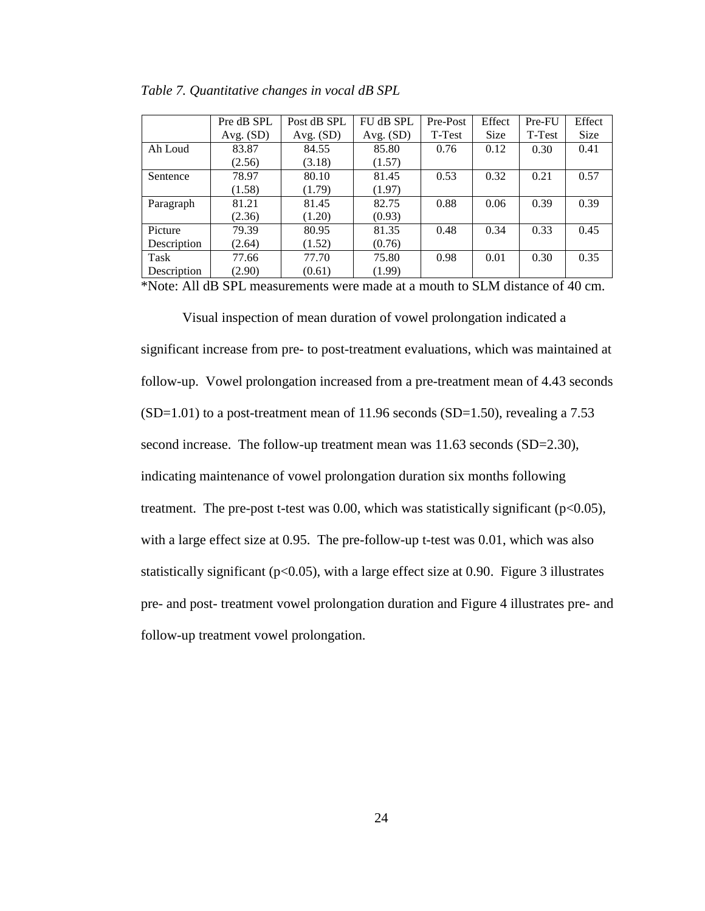|             | Pre dB SPL  | Post dB SPL | FU dB SPL   | Pre-Post | Effect      | Pre-FU | Effect |
|-------------|-------------|-------------|-------------|----------|-------------|--------|--------|
|             | Avg. $(SD)$ | Avg. $(SD)$ | Avg. $(SD)$ | T-Test   | <b>Size</b> | T-Test | Size   |
| Ah Loud     | 83.87       | 84.55       | 85.80       | 0.76     | 0.12        | 0.30   | 0.41   |
|             | (2.56)      | (3.18)      | (1.57)      |          |             |        |        |
| Sentence    | 78.97       | 80.10       | 81.45       | 0.53     | 0.32        | 0.21   | 0.57   |
|             | (1.58)      | (1.79)      | (1.97)      |          |             |        |        |
| Paragraph   | 81.21       | 81.45       | 82.75       | 0.88     | 0.06        | 0.39   | 0.39   |
|             | (2.36)      | (1.20)      | (0.93)      |          |             |        |        |
| Picture     | 79.39       | 80.95       | 81.35       | 0.48     | 0.34        | 0.33   | 0.45   |
| Description | (2.64)      | (1.52)      | (0.76)      |          |             |        |        |
| Task        | 77.66       | 77.70       | 75.80       | 0.98     | 0.01        | 0.30   | 0.35   |
| Description | (2.90)      | (0.61)      | (1.99)      |          |             |        |        |

|  | Table 7. Quantitative changes in vocal dB SPL |
|--|-----------------------------------------------|
|  |                                               |

\*Note: All dB SPL measurements were made at a mouth to SLM distance of 40 cm.

Visual inspection of mean duration of vowel prolongation indicated a significant increase from pre- to post-treatment evaluations, which was maintained at follow-up. Vowel prolongation increased from a pre-treatment mean of 4.43 seconds  $(SD=1.01)$  to a post-treatment mean of 11.96 seconds  $(SD=1.50)$ , revealing a 7.53 second increase. The follow-up treatment mean was 11.63 seconds (SD=2.30), indicating maintenance of vowel prolongation duration six months following treatment. The pre-post t-test was  $0.00$ , which was statistically significant ( $p<0.05$ ), with a large effect size at 0.95. The pre-follow-up t-test was 0.01, which was also statistically significant ( $p<0.05$ ), with a large effect size at 0.90. Figure 3 illustrates pre- and post- treatment vowel prolongation duration and Figure 4 illustrates pre- and follow-up treatment vowel prolongation.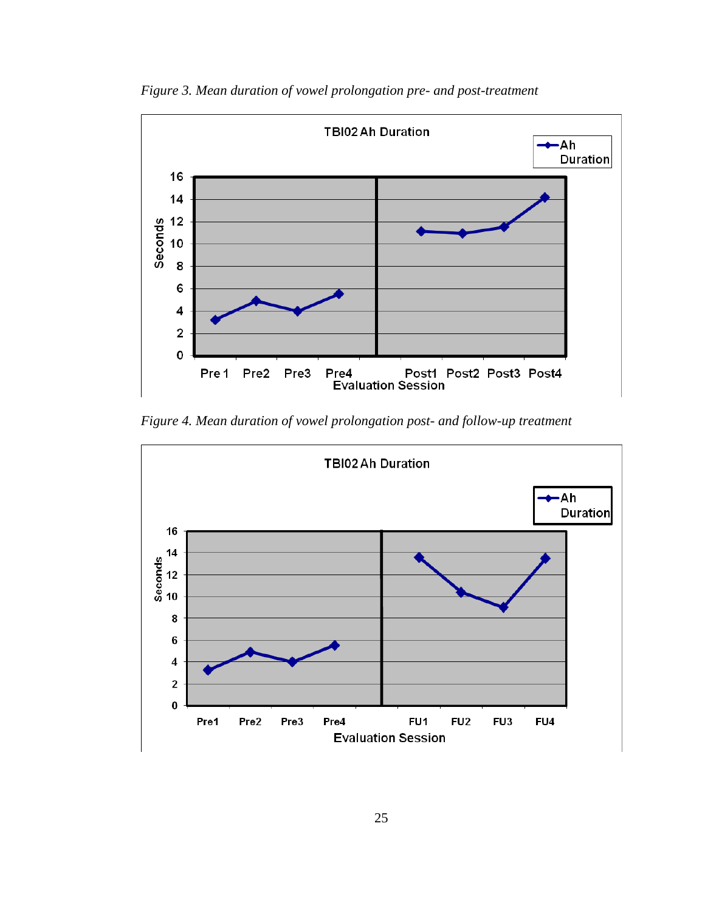

*Figure 3. Mean duration of vowel prolongation pre- and post-treatment*

*Figure 4. Mean duration of vowel prolongation post- and follow-up treatment*

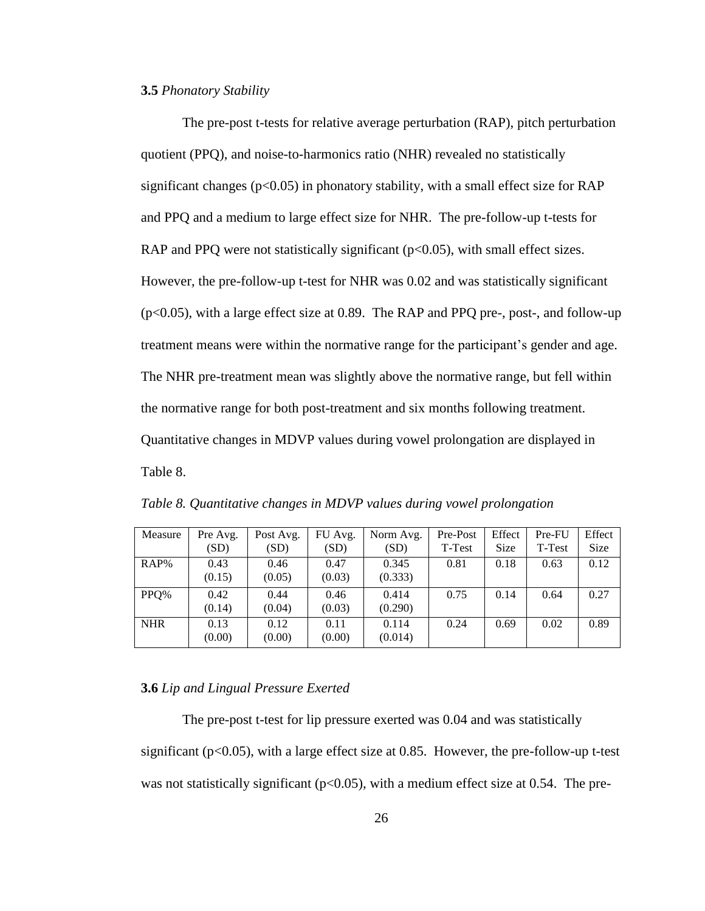#### **3.5** *Phonatory Stability*

The pre-post t-tests for relative average perturbation (RAP), pitch perturbation quotient (PPQ), and noise-to-harmonics ratio (NHR) revealed no statistically significant changes ( $p<0.05$ ) in phonatory stability, with a small effect size for RAP and PPQ and a medium to large effect size for NHR. The pre-follow-up t-tests for RAP and PPQ were not statistically significant ( $p<0.05$ ), with small effect sizes. However, the pre-follow-up t-test for NHR was 0.02 and was statistically significant (p<0.05), with a large effect size at 0.89. The RAP and PPQ pre-, post-, and follow-up treatment means were within the normative range for the participant's gender and age. The NHR pre-treatment mean was slightly above the normative range, but fell within the normative range for both post-treatment and six months following treatment. Quantitative changes in MDVP values during vowel prolongation are displayed in Table 8.

| Measure    | Pre Avg. | Post Avg. | FU Avg. | Norm Avg. | Pre-Post | Effect      | Pre-FU | Effect      |
|------------|----------|-----------|---------|-----------|----------|-------------|--------|-------------|
|            | (SD)     | (SD)      | (SD)    | (SD)      | T-Test   | <b>Size</b> | T-Test | <b>Size</b> |
| $RAP\%$    | 0.43     | 0.46      | 0.47    | 0.345     | 0.81     | 0.18        | 0.63   | 0.12        |
|            | (0.15)   | (0.05)    | (0.03)  | (0.333)   |          |             |        |             |
| PPO%       | 0.42     | 0.44      | 0.46    | 0.414     | 0.75     | 0.14        | 0.64   | 0.27        |
|            | (0.14)   | (0.04)    | (0.03)  | (0.290)   |          |             |        |             |
| <b>NHR</b> | 0.13     | 0.12      | 0.11    | 0.114     | 0.24     | 0.69        | 0.02   | 0.89        |
|            | (0.00)   | (0.00)    | (0.00)  | (0.014)   |          |             |        |             |

*Table 8. Quantitative changes in MDVP values during vowel prolongation*

#### **3.6** *Lip and Lingual Pressure Exerted*

The pre-post t-test for lip pressure exerted was 0.04 and was statistically significant ( $p<0.05$ ), with a large effect size at 0.85. However, the pre-follow-up t-test was not statistically significant ( $p<0.05$ ), with a medium effect size at 0.54. The pre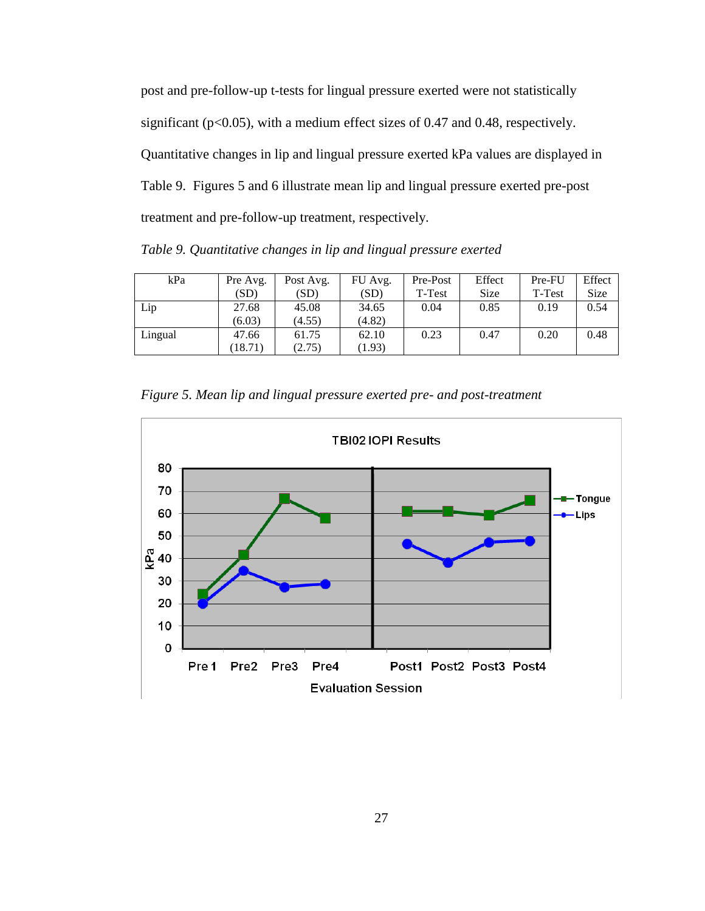post and pre-follow-up t-tests for lingual pressure exerted were not statistically significant (p<0.05), with a medium effect sizes of 0.47 and 0.48, respectively. Quantitative changes in lip and lingual pressure exerted kPa values are displayed in Table 9. Figures 5 and 6 illustrate mean lip and lingual pressure exerted pre-post treatment and pre-follow-up treatment, respectively.

*Table 9. Quantitative changes in lip and lingual pressure exerted*

| kPa     | Pre Avg. | Post Avg. | FU Avg. | Pre-Post | Effect      | Pre-FU | Effect |
|---------|----------|-----------|---------|----------|-------------|--------|--------|
|         | (SD)     | (SD)      | (SD)    | T-Test   | <b>Size</b> | T-Test | Size   |
| Lip     | 27.68    | 45.08     | 34.65   | 0.04     | 0.85        | 0.19   | 0.54   |
|         | (6.03)   | (4.55)    | (4.82)  |          |             |        |        |
| Lingual | 47.66    | 61.75     | 62.10   | 0.23     | 0.47        | 0.20   | 0.48   |
|         | (18.71)  | (2.75)    | (1.93)  |          |             |        |        |

*Figure 5. Mean lip and lingual pressure exerted pre- and post-treatment*

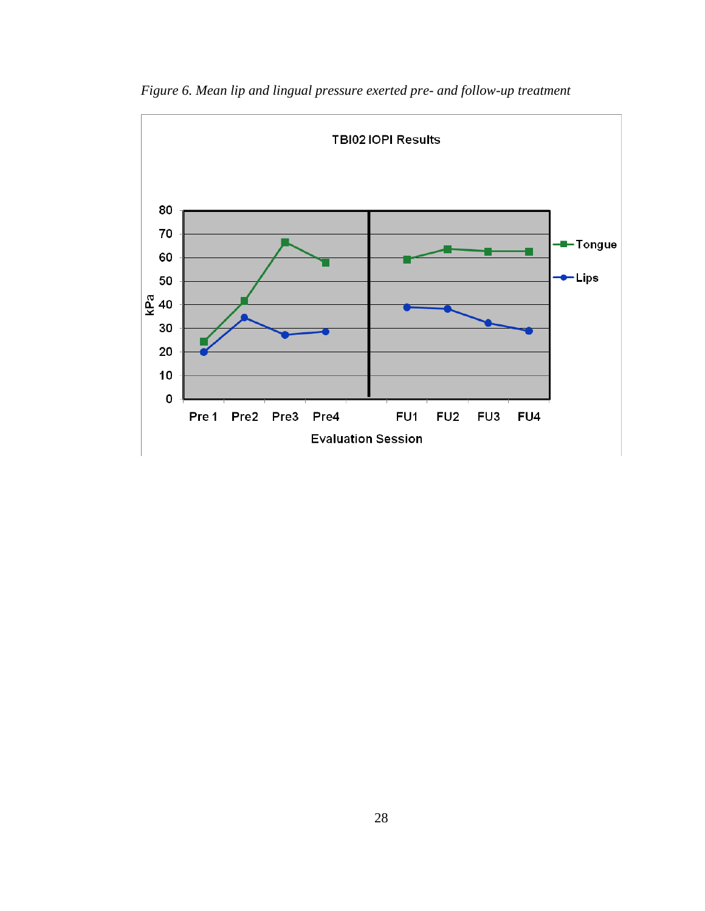

*Figure 6. Mean lip and lingual pressure exerted pre- and follow-up treatment*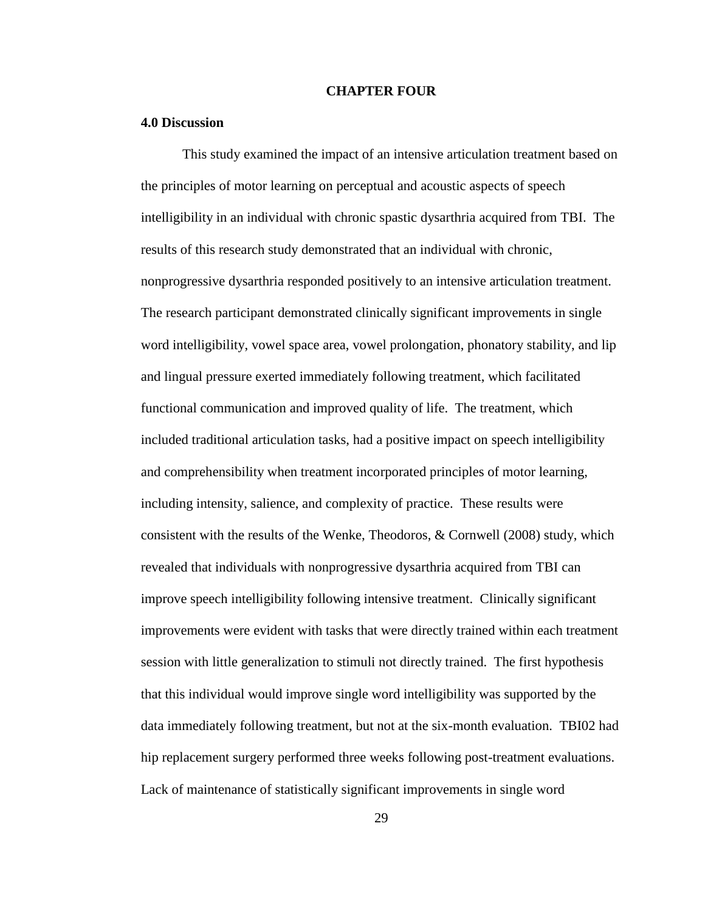#### **CHAPTER FOUR**

#### **4.0 Discussion**

This study examined the impact of an intensive articulation treatment based on the principles of motor learning on perceptual and acoustic aspects of speech intelligibility in an individual with chronic spastic dysarthria acquired from TBI. The results of this research study demonstrated that an individual with chronic, nonprogressive dysarthria responded positively to an intensive articulation treatment. The research participant demonstrated clinically significant improvements in single word intelligibility, vowel space area, vowel prolongation, phonatory stability, and lip and lingual pressure exerted immediately following treatment, which facilitated functional communication and improved quality of life. The treatment, which included traditional articulation tasks, had a positive impact on speech intelligibility and comprehensibility when treatment incorporated principles of motor learning, including intensity, salience, and complexity of practice. These results were consistent with the results of the Wenke, Theodoros, & Cornwell (2008) study, which revealed that individuals with nonprogressive dysarthria acquired from TBI can improve speech intelligibility following intensive treatment. Clinically significant improvements were evident with tasks that were directly trained within each treatment session with little generalization to stimuli not directly trained. The first hypothesis that this individual would improve single word intelligibility was supported by the data immediately following treatment, but not at the six-month evaluation. TBI02 had hip replacement surgery performed three weeks following post-treatment evaluations. Lack of maintenance of statistically significant improvements in single word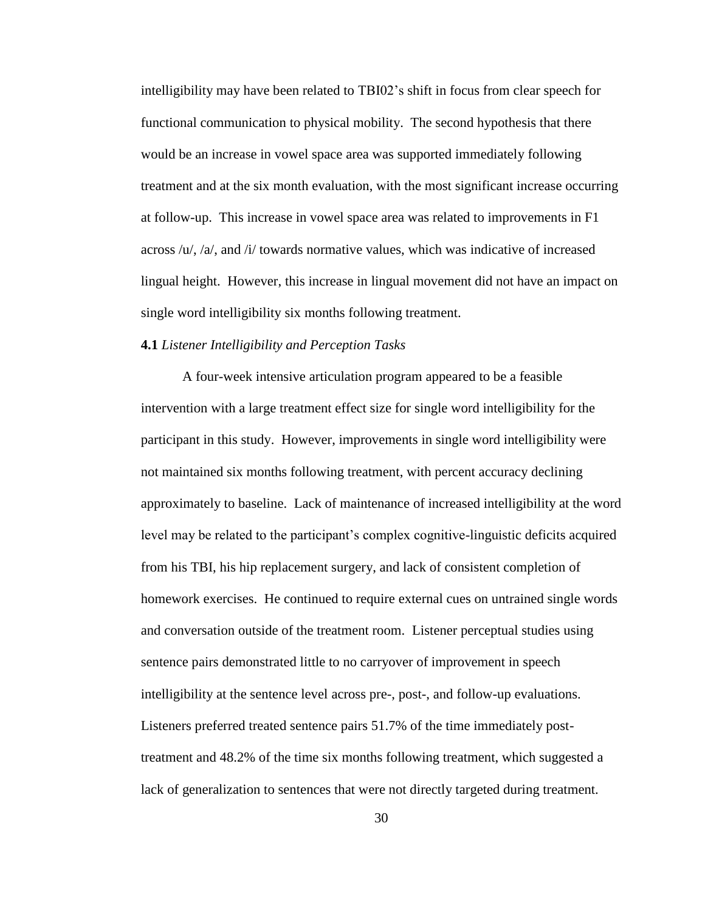intelligibility may have been related to TBI02's shift in focus from clear speech for functional communication to physical mobility. The second hypothesis that there would be an increase in vowel space area was supported immediately following treatment and at the six month evaluation, with the most significant increase occurring at follow-up. This increase in vowel space area was related to improvements in F1 across  $/u/$ ,  $/a/$ , and  $/i/$  towards normative values, which was indicative of increased lingual height. However, this increase in lingual movement did not have an impact on single word intelligibility six months following treatment.

#### **4.1** *Listener Intelligibility and Perception Tasks*

A four-week intensive articulation program appeared to be a feasible intervention with a large treatment effect size for single word intelligibility for the participant in this study. However, improvements in single word intelligibility were not maintained six months following treatment, with percent accuracy declining approximately to baseline. Lack of maintenance of increased intelligibility at the word level may be related to the participant's complex cognitive-linguistic deficits acquired from his TBI, his hip replacement surgery, and lack of consistent completion of homework exercises. He continued to require external cues on untrained single words and conversation outside of the treatment room. Listener perceptual studies using sentence pairs demonstrated little to no carryover of improvement in speech intelligibility at the sentence level across pre-, post-, and follow-up evaluations. Listeners preferred treated sentence pairs 51.7% of the time immediately posttreatment and 48.2% of the time six months following treatment, which suggested a lack of generalization to sentences that were not directly targeted during treatment.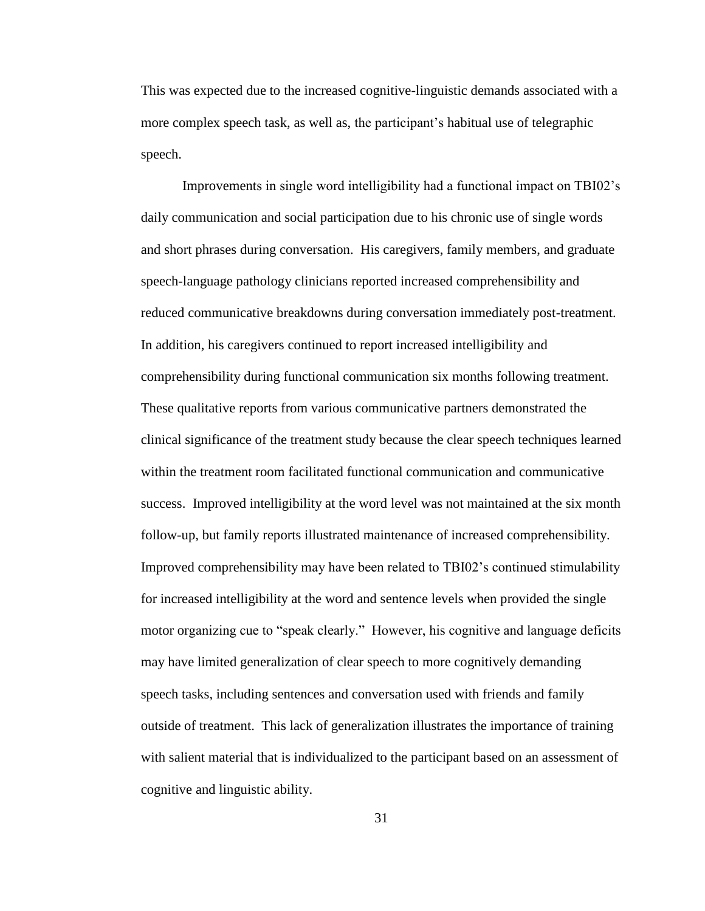This was expected due to the increased cognitive-linguistic demands associated with a more complex speech task, as well as, the participant's habitual use of telegraphic speech.

Improvements in single word intelligibility had a functional impact on TBI02's daily communication and social participation due to his chronic use of single words and short phrases during conversation. His caregivers, family members, and graduate speech-language pathology clinicians reported increased comprehensibility and reduced communicative breakdowns during conversation immediately post-treatment. In addition, his caregivers continued to report increased intelligibility and comprehensibility during functional communication six months following treatment. These qualitative reports from various communicative partners demonstrated the clinical significance of the treatment study because the clear speech techniques learned within the treatment room facilitated functional communication and communicative success. Improved intelligibility at the word level was not maintained at the six month follow-up, but family reports illustrated maintenance of increased comprehensibility. Improved comprehensibility may have been related to TBI02's continued stimulability for increased intelligibility at the word and sentence levels when provided the single motor organizing cue to "speak clearly." However, his cognitive and language deficits may have limited generalization of clear speech to more cognitively demanding speech tasks, including sentences and conversation used with friends and family outside of treatment. This lack of generalization illustrates the importance of training with salient material that is individualized to the participant based on an assessment of cognitive and linguistic ability.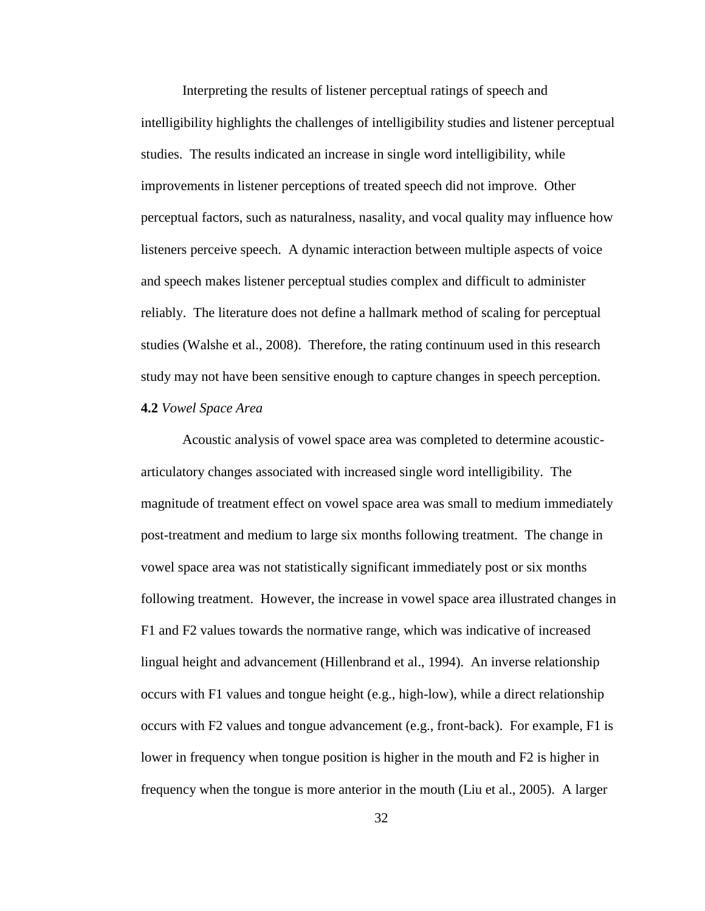Interpreting the results of listener perceptual ratings of speech and intelligibility highlights the challenges of intelligibility studies and listener perceptual studies. The results indicated an increase in single word intelligibility, while improvements in listener perceptions of treated speech did not improve. Other perceptual factors, such as naturalness, nasality, and vocal quality may influence how listeners perceive speech. A dynamic interaction between multiple aspects of voice and speech makes listener perceptual studies complex and difficult to administer reliably. The literature does not define a hallmark method of scaling for perceptual studies (Walshe et al., 2008). Therefore, the rating continuum used in this research study may not have been sensitive enough to capture changes in speech perception. **4.2** *Vowel Space Area*

Acoustic analysis of vowel space area was completed to determine acousticarticulatory changes associated with increased single word intelligibility. The magnitude of treatment effect on vowel space area was small to medium immediately post-treatment and medium to large six months following treatment. The change in vowel space area was not statistically significant immediately post or six months following treatment. However, the increase in vowel space area illustrated changes in F1 and F2 values towards the normative range, which was indicative of increased lingual height and advancement (Hillenbrand et al., 1994). An inverse relationship occurs with F1 values and tongue height (e.g., high-low), while a direct relationship occurs with F2 values and tongue advancement (e.g., front-back). For example, F1 is lower in frequency when tongue position is higher in the mouth and F2 is higher in frequency when the tongue is more anterior in the mouth (Liu et al., 2005). A larger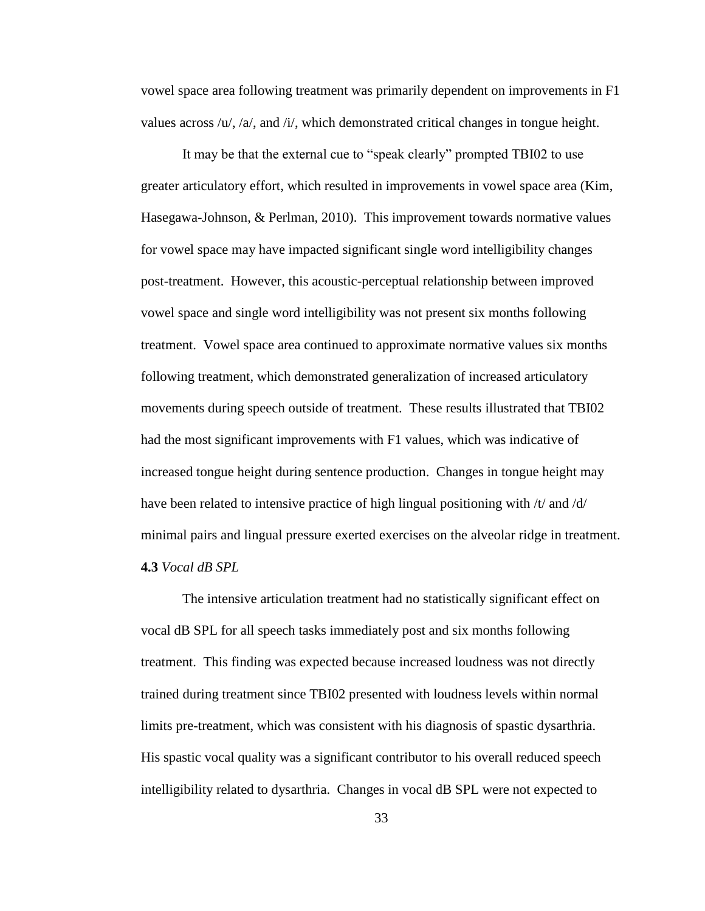vowel space area following treatment was primarily dependent on improvements in F1 values across /u/, /a/, and /i/, which demonstrated critical changes in tongue height.

It may be that the external cue to "speak clearly" prompted TBI02 to use greater articulatory effort, which resulted in improvements in vowel space area (Kim, Hasegawa-Johnson, & Perlman, 2010). This improvement towards normative values for vowel space may have impacted significant single word intelligibility changes post-treatment. However, this acoustic-perceptual relationship between improved vowel space and single word intelligibility was not present six months following treatment. Vowel space area continued to approximate normative values six months following treatment, which demonstrated generalization of increased articulatory movements during speech outside of treatment. These results illustrated that TBI02 had the most significant improvements with F1 values, which was indicative of increased tongue height during sentence production. Changes in tongue height may have been related to intensive practice of high lingual positioning with /t/ and /d/ minimal pairs and lingual pressure exerted exercises on the alveolar ridge in treatment. **4.3** *Vocal dB SPL*

The intensive articulation treatment had no statistically significant effect on vocal dB SPL for all speech tasks immediately post and six months following treatment. This finding was expected because increased loudness was not directly trained during treatment since TBI02 presented with loudness levels within normal limits pre-treatment, which was consistent with his diagnosis of spastic dysarthria. His spastic vocal quality was a significant contributor to his overall reduced speech intelligibility related to dysarthria. Changes in vocal dB SPL were not expected to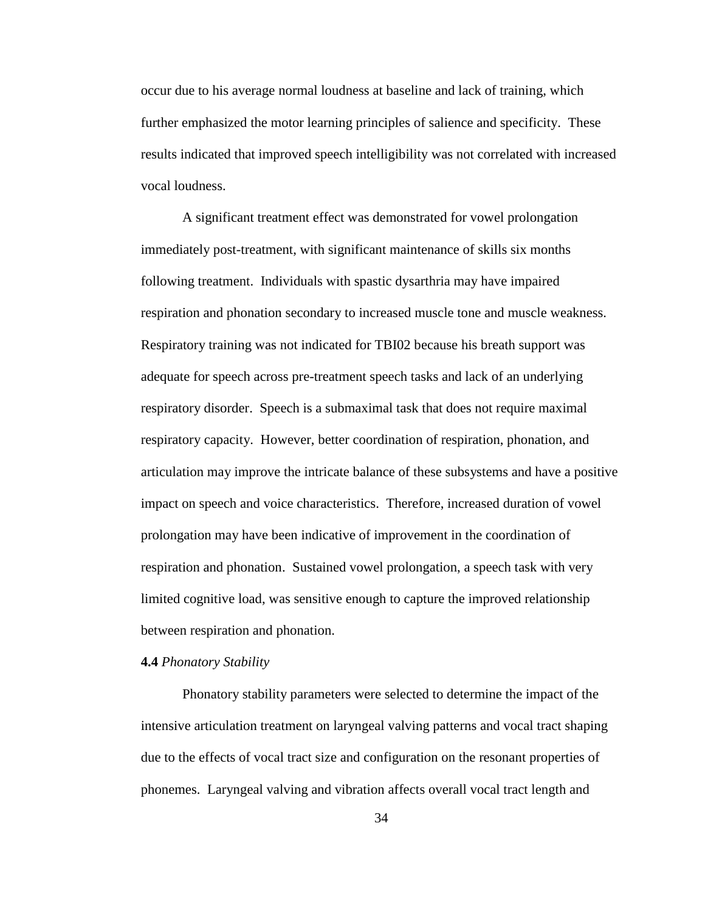occur due to his average normal loudness at baseline and lack of training, which further emphasized the motor learning principles of salience and specificity. These results indicated that improved speech intelligibility was not correlated with increased vocal loudness.

A significant treatment effect was demonstrated for vowel prolongation immediately post-treatment, with significant maintenance of skills six months following treatment. Individuals with spastic dysarthria may have impaired respiration and phonation secondary to increased muscle tone and muscle weakness. Respiratory training was not indicated for TBI02 because his breath support was adequate for speech across pre-treatment speech tasks and lack of an underlying respiratory disorder. Speech is a submaximal task that does not require maximal respiratory capacity. However, better coordination of respiration, phonation, and articulation may improve the intricate balance of these subsystems and have a positive impact on speech and voice characteristics. Therefore, increased duration of vowel prolongation may have been indicative of improvement in the coordination of respiration and phonation. Sustained vowel prolongation, a speech task with very limited cognitive load, was sensitive enough to capture the improved relationship between respiration and phonation.

#### **4.4** *Phonatory Stability*

Phonatory stability parameters were selected to determine the impact of the intensive articulation treatment on laryngeal valving patterns and vocal tract shaping due to the effects of vocal tract size and configuration on the resonant properties of phonemes. Laryngeal valving and vibration affects overall vocal tract length and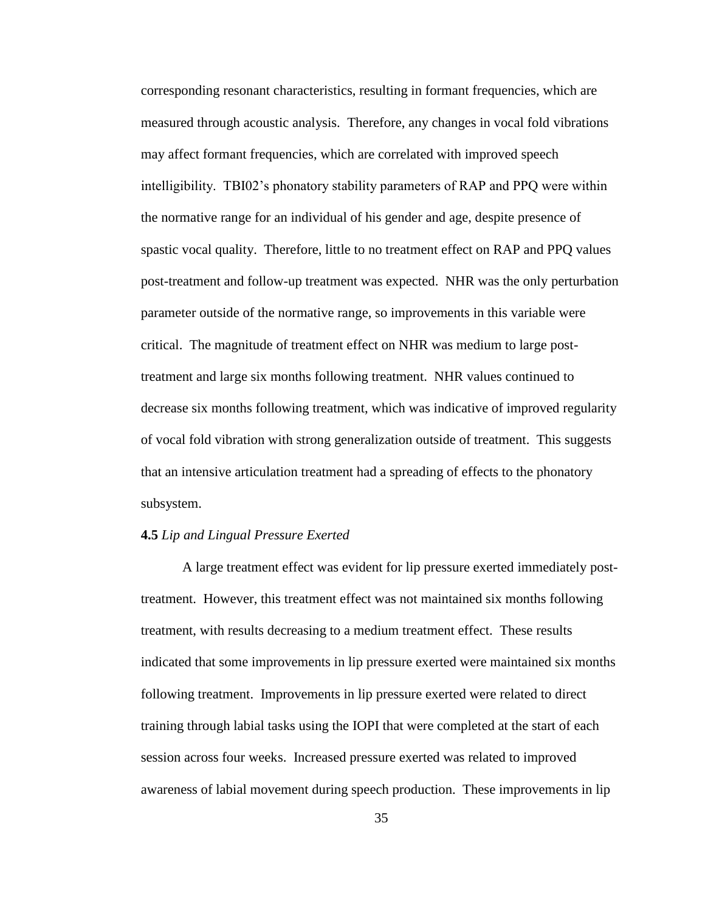corresponding resonant characteristics, resulting in formant frequencies, which are measured through acoustic analysis. Therefore, any changes in vocal fold vibrations may affect formant frequencies, which are correlated with improved speech intelligibility. TBI02's phonatory stability parameters of RAP and PPQ were within the normative range for an individual of his gender and age, despite presence of spastic vocal quality. Therefore, little to no treatment effect on RAP and PPQ values post-treatment and follow-up treatment was expected. NHR was the only perturbation parameter outside of the normative range, so improvements in this variable were critical. The magnitude of treatment effect on NHR was medium to large posttreatment and large six months following treatment. NHR values continued to decrease six months following treatment, which was indicative of improved regularity of vocal fold vibration with strong generalization outside of treatment. This suggests that an intensive articulation treatment had a spreading of effects to the phonatory subsystem.

#### **4.5** *Lip and Lingual Pressure Exerted*

A large treatment effect was evident for lip pressure exerted immediately posttreatment. However, this treatment effect was not maintained six months following treatment, with results decreasing to a medium treatment effect. These results indicated that some improvements in lip pressure exerted were maintained six months following treatment. Improvements in lip pressure exerted were related to direct training through labial tasks using the IOPI that were completed at the start of each session across four weeks. Increased pressure exerted was related to improved awareness of labial movement during speech production. These improvements in lip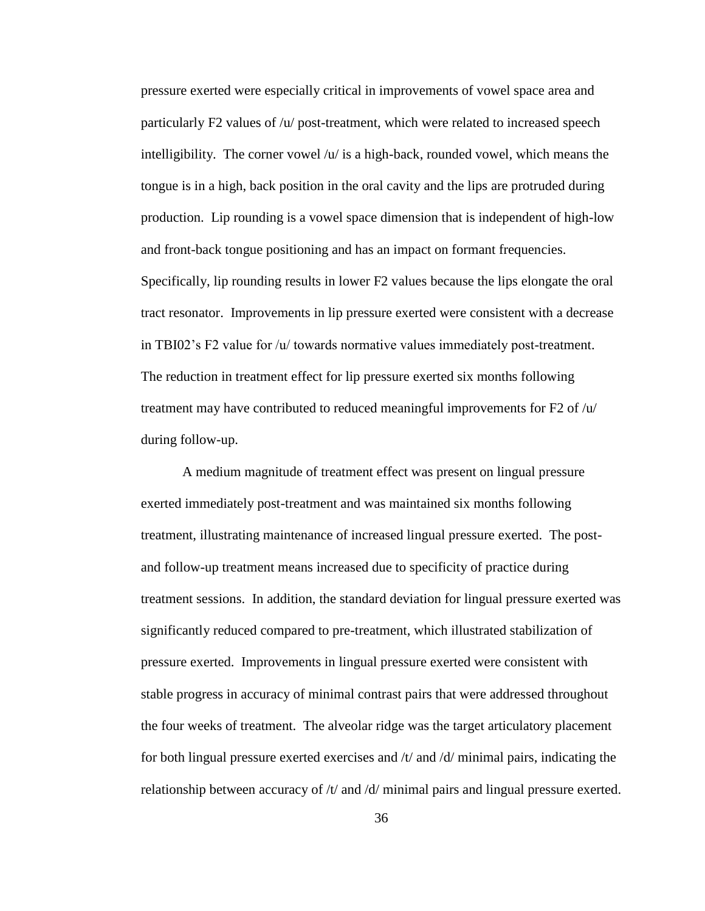pressure exerted were especially critical in improvements of vowel space area and particularly F2 values of /u/ post-treatment, which were related to increased speech intelligibility. The corner vowel  $\langle u \rangle$  is a high-back, rounded vowel, which means the tongue is in a high, back position in the oral cavity and the lips are protruded during production. Lip rounding is a vowel space dimension that is independent of high-low and front-back tongue positioning and has an impact on formant frequencies. Specifically, lip rounding results in lower F2 values because the lips elongate the oral tract resonator. Improvements in lip pressure exerted were consistent with a decrease in TBI02's F2 value for /u/ towards normative values immediately post-treatment. The reduction in treatment effect for lip pressure exerted six months following treatment may have contributed to reduced meaningful improvements for F2 of /u/ during follow-up.

A medium magnitude of treatment effect was present on lingual pressure exerted immediately post-treatment and was maintained six months following treatment, illustrating maintenance of increased lingual pressure exerted. The postand follow-up treatment means increased due to specificity of practice during treatment sessions. In addition, the standard deviation for lingual pressure exerted was significantly reduced compared to pre-treatment, which illustrated stabilization of pressure exerted. Improvements in lingual pressure exerted were consistent with stable progress in accuracy of minimal contrast pairs that were addressed throughout the four weeks of treatment. The alveolar ridge was the target articulatory placement for both lingual pressure exerted exercises and  $/t$  and  $/d$  minimal pairs, indicating the relationship between accuracy of /t/ and /d/ minimal pairs and lingual pressure exerted.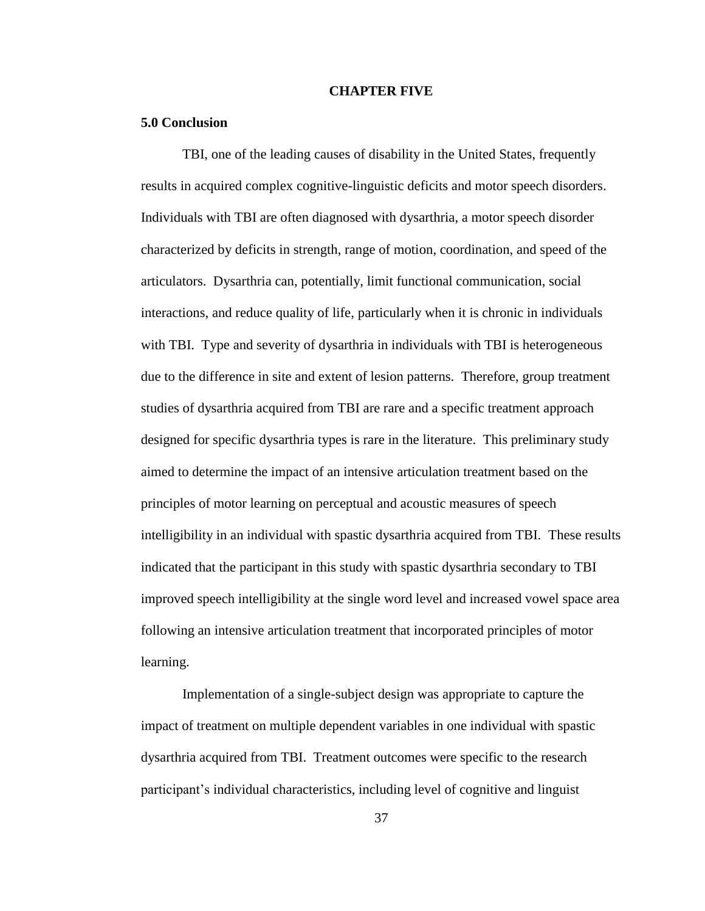#### **CHAPTER FIVE**

#### **5.0 Conclusion**

TBI, one of the leading causes of disability in the United States, frequently results in acquired complex cognitive-linguistic deficits and motor speech disorders. Individuals with TBI are often diagnosed with dysarthria, a motor speech disorder characterized by deficits in strength, range of motion, coordination, and speed of the articulators. Dysarthria can, potentially, limit functional communication, social interactions, and reduce quality of life, particularly when it is chronic in individuals with TBI. Type and severity of dysarthria in individuals with TBI is heterogeneous due to the difference in site and extent of lesion patterns. Therefore, group treatment studies of dysarthria acquired from TBI are rare and a specific treatment approach designed for specific dysarthria types is rare in the literature. This preliminary study aimed to determine the impact of an intensive articulation treatment based on the principles of motor learning on perceptual and acoustic measures of speech intelligibility in an individual with spastic dysarthria acquired from TBI. These results indicated that the participant in this study with spastic dysarthria secondary to TBI improved speech intelligibility at the single word level and increased vowel space area following an intensive articulation treatment that incorporated principles of motor learning.

Implementation of a single-subject design was appropriate to capture the impact of treatment on multiple dependent variables in one individual with spastic dysarthria acquired from TBI. Treatment outcomes were specific to the research participant's individual characteristics, including level of cognitive and linguist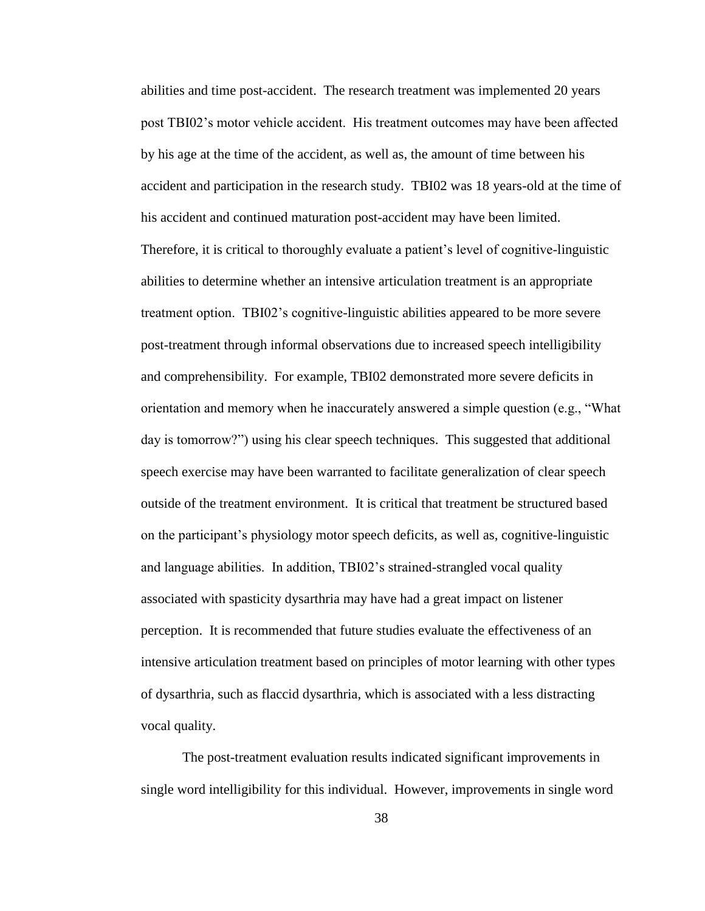abilities and time post-accident. The research treatment was implemented 20 years post TBI02's motor vehicle accident. His treatment outcomes may have been affected by his age at the time of the accident, as well as, the amount of time between his accident and participation in the research study. TBI02 was 18 years-old at the time of his accident and continued maturation post-accident may have been limited. Therefore, it is critical to thoroughly evaluate a patient's level of cognitive-linguistic abilities to determine whether an intensive articulation treatment is an appropriate treatment option. TBI02's cognitive-linguistic abilities appeared to be more severe post-treatment through informal observations due to increased speech intelligibility and comprehensibility. For example, TBI02 demonstrated more severe deficits in orientation and memory when he inaccurately answered a simple question (e.g., "What day is tomorrow?") using his clear speech techniques. This suggested that additional speech exercise may have been warranted to facilitate generalization of clear speech outside of the treatment environment. It is critical that treatment be structured based on the participant's physiology motor speech deficits, as well as, cognitive-linguistic and language abilities. In addition, TBI02's strained-strangled vocal quality associated with spasticity dysarthria may have had a great impact on listener perception. It is recommended that future studies evaluate the effectiveness of an intensive articulation treatment based on principles of motor learning with other types of dysarthria, such as flaccid dysarthria, which is associated with a less distracting vocal quality.

The post-treatment evaluation results indicated significant improvements in single word intelligibility for this individual. However, improvements in single word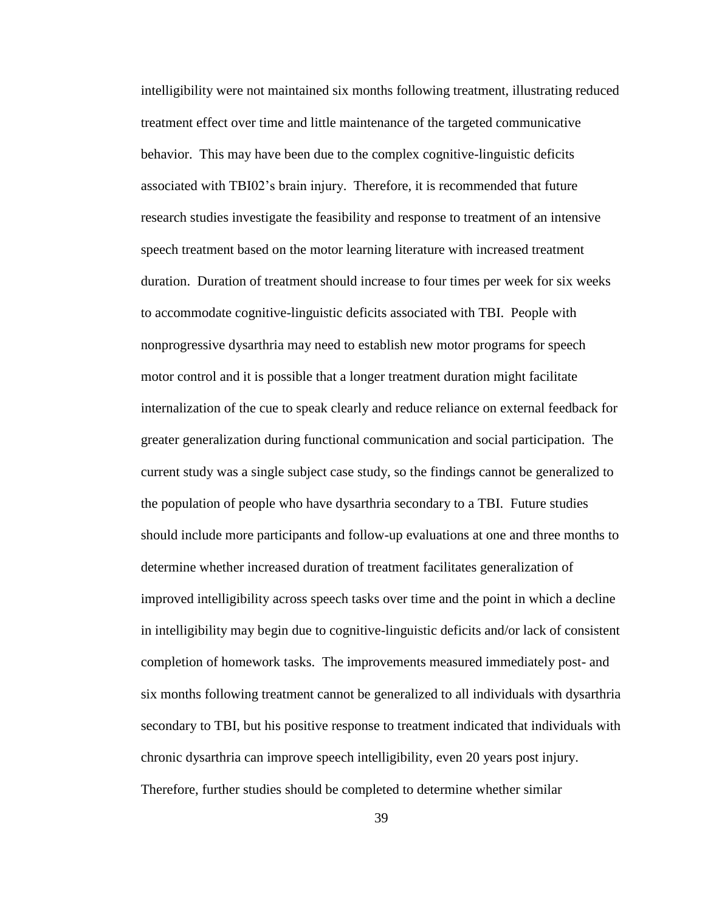intelligibility were not maintained six months following treatment, illustrating reduced treatment effect over time and little maintenance of the targeted communicative behavior. This may have been due to the complex cognitive-linguistic deficits associated with TBI02's brain injury. Therefore, it is recommended that future research studies investigate the feasibility and response to treatment of an intensive speech treatment based on the motor learning literature with increased treatment duration. Duration of treatment should increase to four times per week for six weeks to accommodate cognitive-linguistic deficits associated with TBI. People with nonprogressive dysarthria may need to establish new motor programs for speech motor control and it is possible that a longer treatment duration might facilitate internalization of the cue to speak clearly and reduce reliance on external feedback for greater generalization during functional communication and social participation. The current study was a single subject case study, so the findings cannot be generalized to the population of people who have dysarthria secondary to a TBI. Future studies should include more participants and follow-up evaluations at one and three months to determine whether increased duration of treatment facilitates generalization of improved intelligibility across speech tasks over time and the point in which a decline in intelligibility may begin due to cognitive-linguistic deficits and/or lack of consistent completion of homework tasks. The improvements measured immediately post- and six months following treatment cannot be generalized to all individuals with dysarthria secondary to TBI, but his positive response to treatment indicated that individuals with chronic dysarthria can improve speech intelligibility, even 20 years post injury. Therefore, further studies should be completed to determine whether similar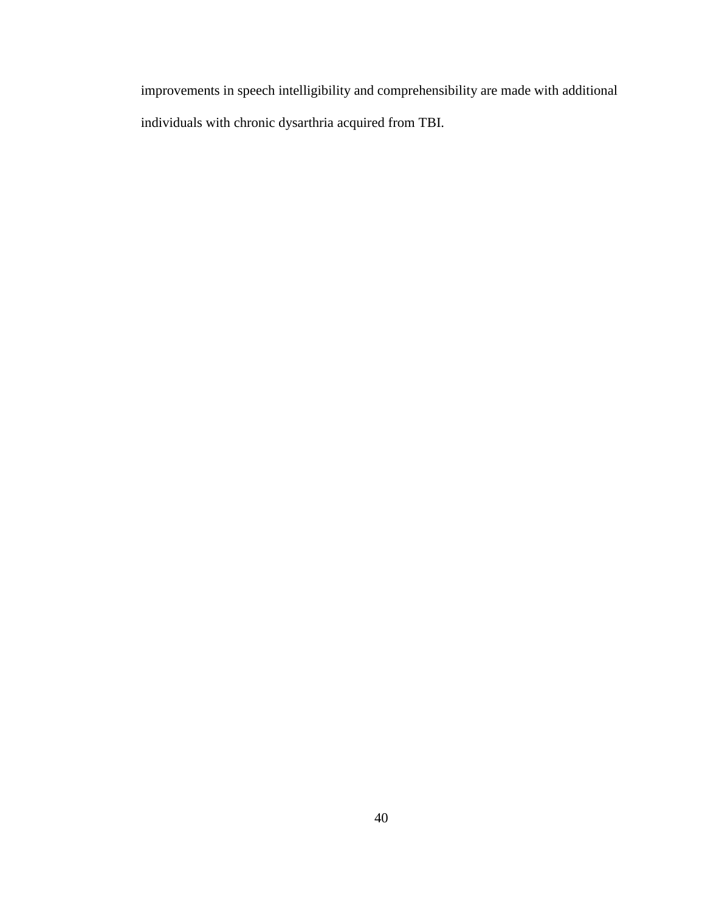improvements in speech intelligibility and comprehensibility are made with additional individuals with chronic dysarthria acquired from TBI.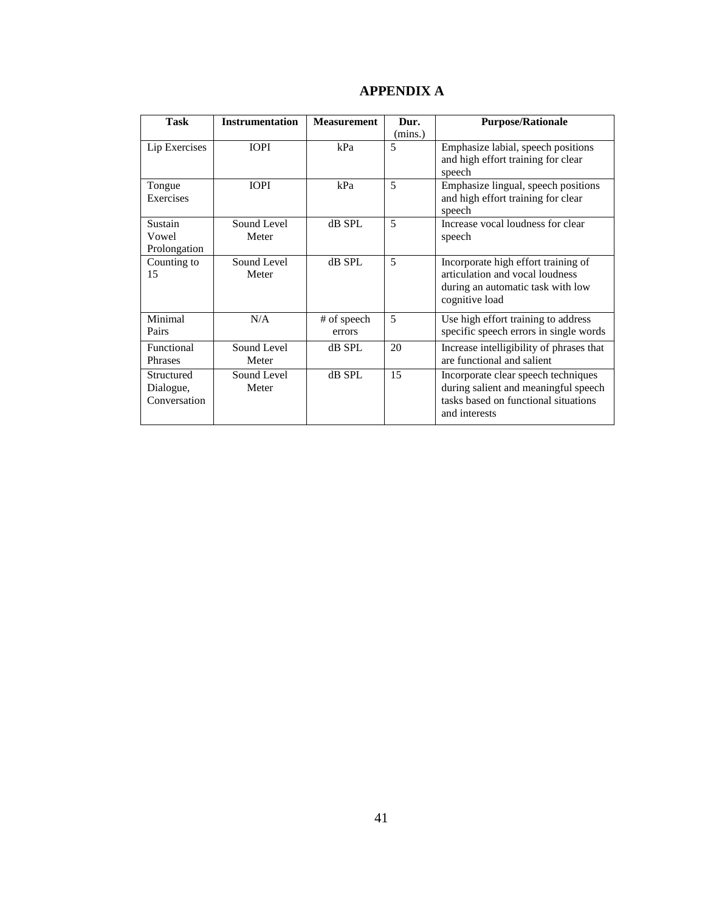| Task          | <b>Instrumentation</b> | <b>Measurement</b> | Dur.    | <b>Purpose/Rationale</b>                 |
|---------------|------------------------|--------------------|---------|------------------------------------------|
|               |                        |                    | (mins.) |                                          |
| Lip Exercises | <b>TOPI</b>            | kPa                | 5       | Emphasize labial, speech positions       |
|               |                        |                    |         | and high effort training for clear       |
|               |                        |                    |         | speech                                   |
| Tongue        | <b>IOPI</b>            | kPa                | 5       | Emphasize lingual, speech positions      |
| Exercises     |                        |                    |         | and high effort training for clear       |
|               |                        |                    |         | speech                                   |
| Sustain       | Sound Level            | dB SPL             | 5       | Increase vocal loudness for clear        |
| Vowel         | Meter                  |                    |         | speech                                   |
| Prolongation  |                        |                    |         |                                          |
| Counting to   | Sound Level            | dB SPL             | 5       | Incorporate high effort training of      |
| 15            | Meter                  |                    |         | articulation and vocal loudness          |
|               |                        |                    |         | during an automatic task with low        |
|               |                        |                    |         | cognitive load                           |
| Minimal       | N/A                    | # of speech        | 5       | Use high effort training to address      |
| Pairs         |                        | errors             |         | specific speech errors in single words   |
| Functional    | Sound Level            | dB SPL             | 20      | Increase intelligibility of phrases that |
| Phrases       | Meter                  |                    |         | are functional and salient               |
| Structured    | Sound Level            | dB SPL             | 15      | Incorporate clear speech techniques      |
| Dialogue,     | Meter                  |                    |         | during salient and meaningful speech     |
| Conversation  |                        |                    |         | tasks based on functional situations     |
|               |                        |                    |         | and interests                            |
|               |                        |                    |         |                                          |

## **APPENDIX A**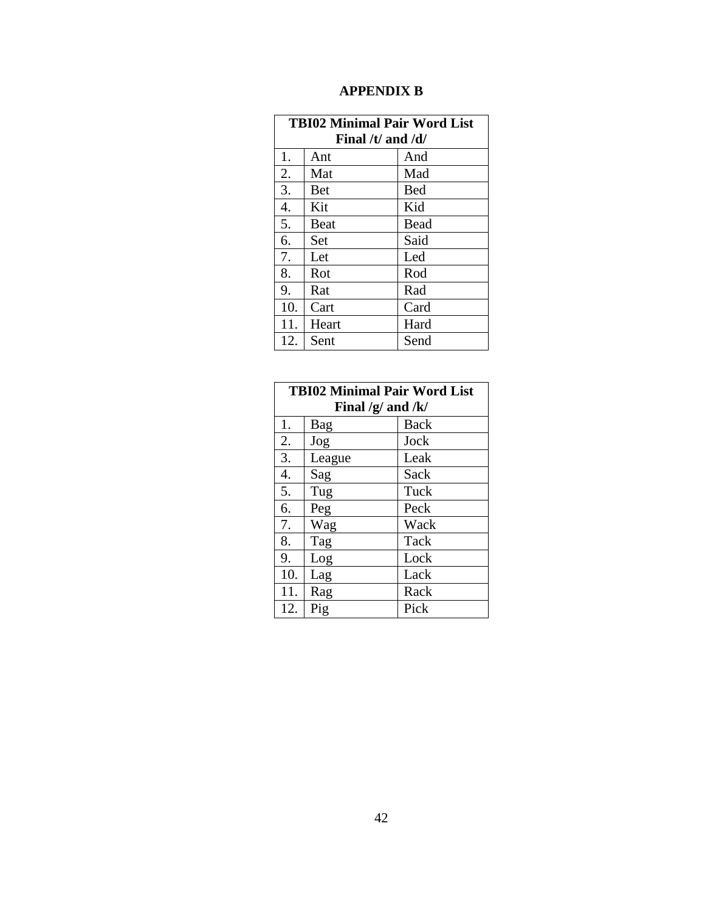## **APPENDIX B**

| <b>TBI02 Minimal Pair Word List</b> |             |            |  |  |  |
|-------------------------------------|-------------|------------|--|--|--|
| Final /t/ and $\frac{d}{dx}$        |             |            |  |  |  |
| 1.                                  | Ant         | And        |  |  |  |
| 2.                                  | Mat         | Mad        |  |  |  |
| 3.                                  | <b>Bet</b>  | <b>Bed</b> |  |  |  |
| $\overline{4}$ .                    | Kit         | Kid        |  |  |  |
| 5.                                  | <b>Beat</b> | Bead       |  |  |  |
| 6.                                  | Set         | Said       |  |  |  |
| 7.                                  | Let         | Led        |  |  |  |
| 8.                                  | Rot         | Rod        |  |  |  |
| 9.                                  | Rat         | Rad        |  |  |  |
| 10.                                 | Cart        | Card       |  |  |  |
| 11.                                 | Heart       | Hard       |  |  |  |
| 12.                                 | Sent        | Send       |  |  |  |

| <b>TBI02 Minimal Pair Word List</b> |        |             |  |  |
|-------------------------------------|--------|-------------|--|--|
| Final $/g$ and $/k/$                |        |             |  |  |
| 1.                                  | Bag    | <b>Back</b> |  |  |
| 2.                                  | Jog    | Jock        |  |  |
| 3.                                  | League | Leak        |  |  |
| 4.                                  | Sag    | Sack        |  |  |
| 5.                                  | Tug    | Tuck        |  |  |
| 6.                                  | Peg    | Peck        |  |  |
| 7.                                  | Wag    | Wack        |  |  |
| 8.                                  | Tag    | Tack        |  |  |
| 9.                                  | Log    | Lock        |  |  |
| 10.                                 | Lag    | Lack        |  |  |
| 11.                                 | Rag    | Rack        |  |  |
| 12.                                 | Pig    | Pick        |  |  |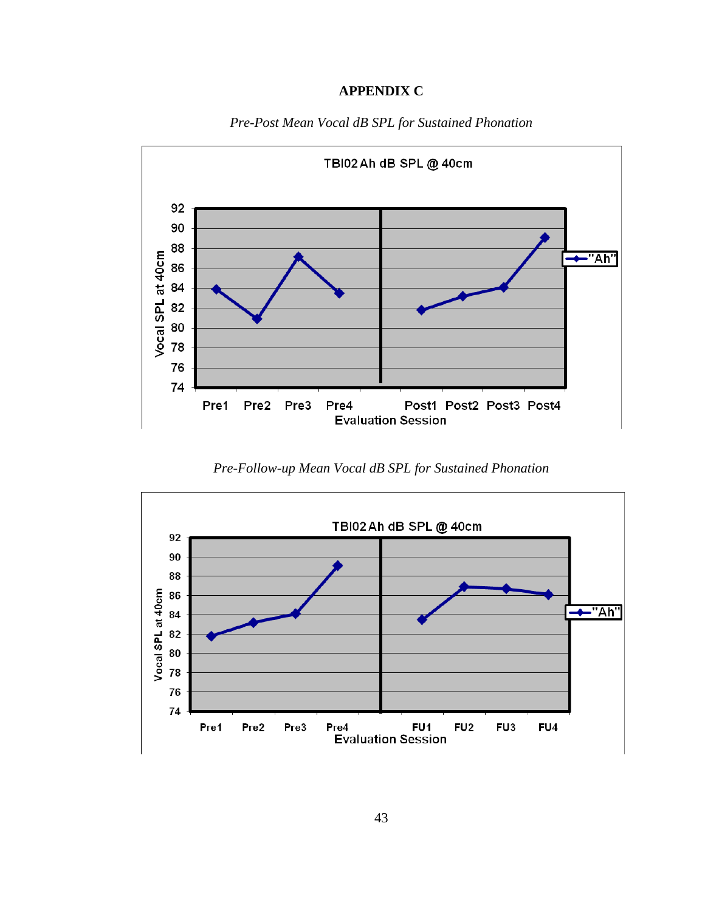## **APPENDIX C**



*Pre-Post Mean Vocal dB SPL for Sustained Phonation*

*Pre-Follow-up Mean Vocal dB SPL for Sustained Phonation*

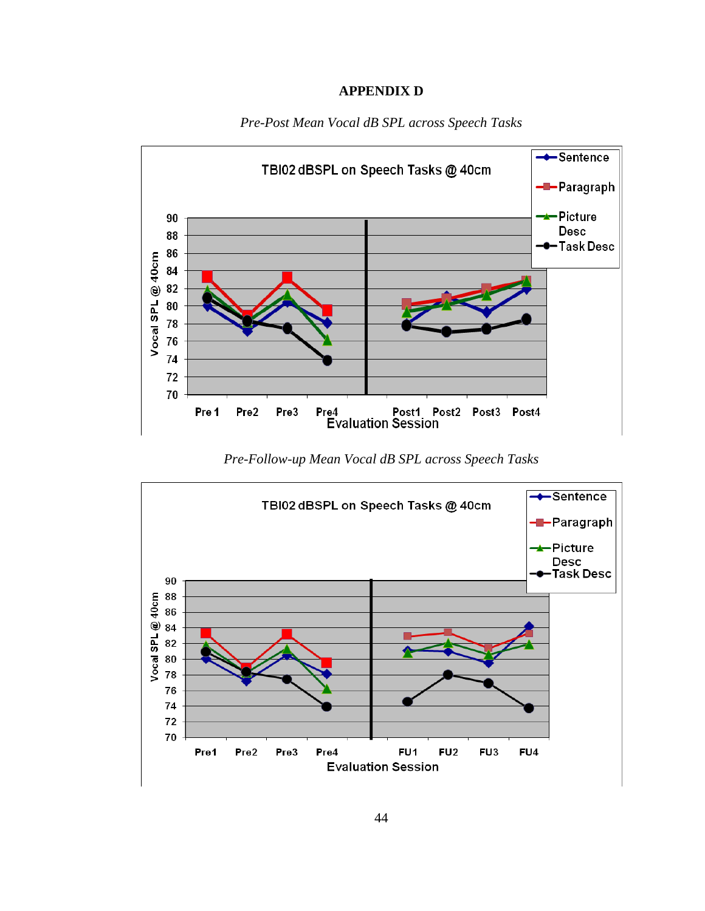#### **APPENDIX D**



*Pre-Post Mean Vocal dB SPL across Speech Tasks*

*Pre-Follow-up Mean Vocal dB SPL across Speech Tasks*

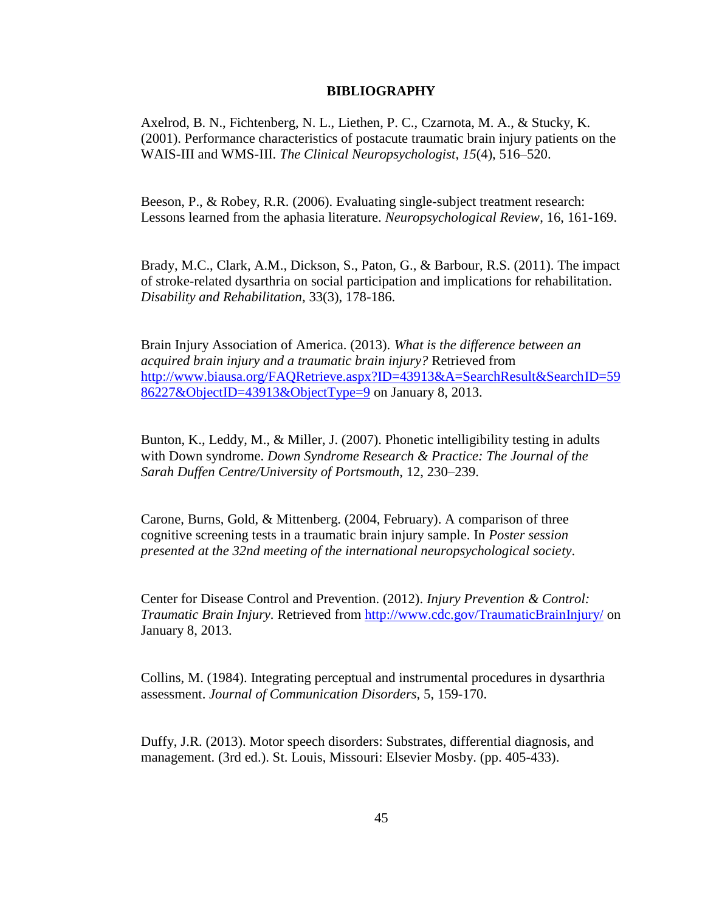#### **BIBLIOGRAPHY**

Axelrod, B. N., Fichtenberg, N. L., Liethen, P. C., Czarnota, M. A., & Stucky, K. (2001). Performance characteristics of postacute traumatic brain injury patients on the WAIS-III and WMS-III. *The Clinical Neuropsychologist*, *15*(4), 516–520.

Beeson, P., & Robey, R.R. (2006). Evaluating single-subject treatment research: Lessons learned from the aphasia literature. *Neuropsychological Review*, 16, 161-169.

Brady, M.C., Clark, A.M., Dickson, S., Paton, G., & Barbour, R.S. (2011). The impact of stroke-related dysarthria on social participation and implications for rehabilitation. *Disability and Rehabilitation*, 33(3), 178-186.

Brain Injury Association of America. (2013). *What is the difference between an acquired brain injury and a traumatic brain injury?* Retrieved from [http://www.biausa.org/FAQRetrieve.aspx?ID=43913&A=SearchResult&SearchID=59](http://www.biausa.org/FAQRetrieve.aspx?ID=43913&A=SearchResult&SearchID=5986227&ObjectID=43913&ObjectType=9) [86227&ObjectID=43913&ObjectType=9](http://www.biausa.org/FAQRetrieve.aspx?ID=43913&A=SearchResult&SearchID=5986227&ObjectID=43913&ObjectType=9) on January 8, 2013.

Bunton, K., Leddy, M., & Miller, J. (2007). Phonetic intelligibility testing in adults with Down syndrome. *Down Syndrome Research & Practice: The Journal of the Sarah Duffen Centre/University of Portsmouth*, 12, 230–239.

Carone, Burns, Gold, & Mittenberg. (2004, February). A comparison of three cognitive screening tests in a traumatic brain injury sample. In *Poster session presented at the 32nd meeting of the international neuropsychological society*.

Center for Disease Control and Prevention. (2012). *Injury Prevention & Control: Traumatic Brain Injury.* Retrieved from<http://www.cdc.gov/TraumaticBrainInjury/> on January 8, 2013.

Collins, M. (1984). Integrating perceptual and instrumental procedures in dysarthria assessment. *Journal of Communication Disorders,* 5, 159-170.

Duffy, J.R. (2013). Motor speech disorders: Substrates, differential diagnosis, and management. (3rd ed.). St. Louis, Missouri: Elsevier Mosby. (pp. 405-433).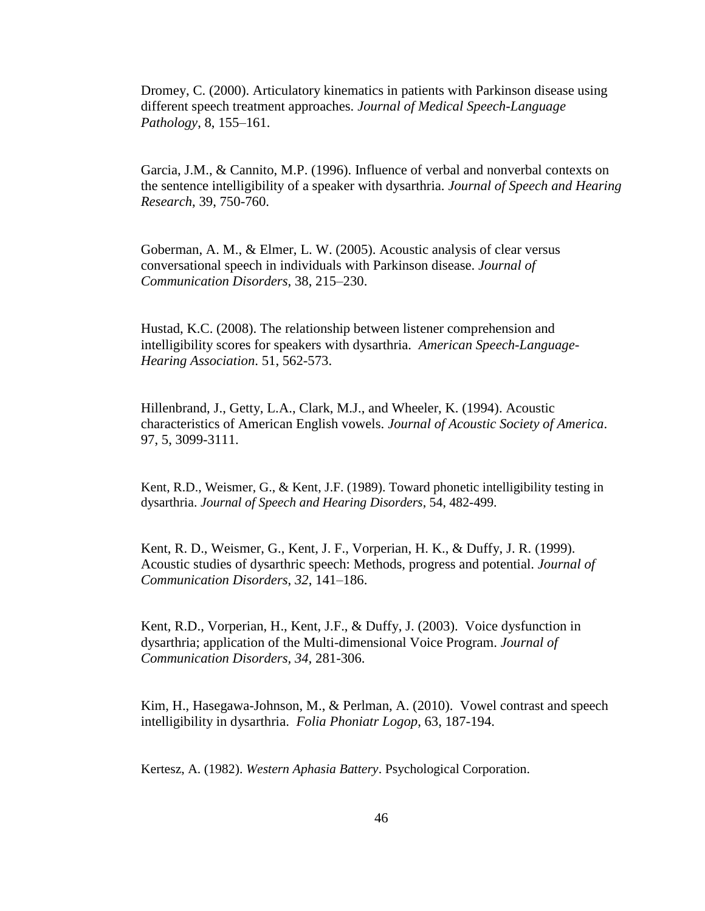Dromey, C. (2000). Articulatory kinematics in patients with Parkinson disease using different speech treatment approaches. *Journal of Medical Speech-Language Pathology*, 8, 155–161.

Garcia, J.M., & Cannito, M.P. (1996). Influence of verbal and nonverbal contexts on the sentence intelligibility of a speaker with dysarthria. *Journal of Speech and Hearing Research*, 39, 750-760.

Goberman, A. M., & Elmer, L. W. (2005). Acoustic analysis of clear versus conversational speech in individuals with Parkinson disease. *Journal of Communication Disorders*, 38, 215–230.

Hustad, K.C. (2008). The relationship between listener comprehension and intelligibility scores for speakers with dysarthria. *American Speech-Language-Hearing Association*. 51, 562-573.

Hillenbrand, J., Getty, L.A., Clark, M.J., and Wheeler, K. (1994). Acoustic characteristics of American English vowels. *Journal of Acoustic Society of America*. 97, 5, 3099-3111.

Kent, R.D., Weismer, G., & Kent, J.F. (1989). Toward phonetic intelligibility testing in dysarthria. *Journal of Speech and Hearing Disorders*, 54, 482-499.

Kent, R. D., Weismer, G., Kent, J. F., Vorperian, H. K., & Duffy, J. R. (1999). Acoustic studies of dysarthric speech: Methods, progress and potential. *Journal of Communication Disorders*, *32*, 141–186.

Kent, R.D., Vorperian, H., Kent, J.F., & Duffy, J. (2003). Voice dysfunction in dysarthria; application of the Multi-dimensional Voice Program. *Journal of Communication Disorders, 34,* 281-306.

Kim, H., Hasegawa-Johnson, M., & Perlman, A. (2010). Vowel contrast and speech intelligibility in dysarthria. *Folia Phoniatr Logop*, 63, 187-194.

Kertesz, A. (1982). *Western Aphasia Battery*. Psychological Corporation.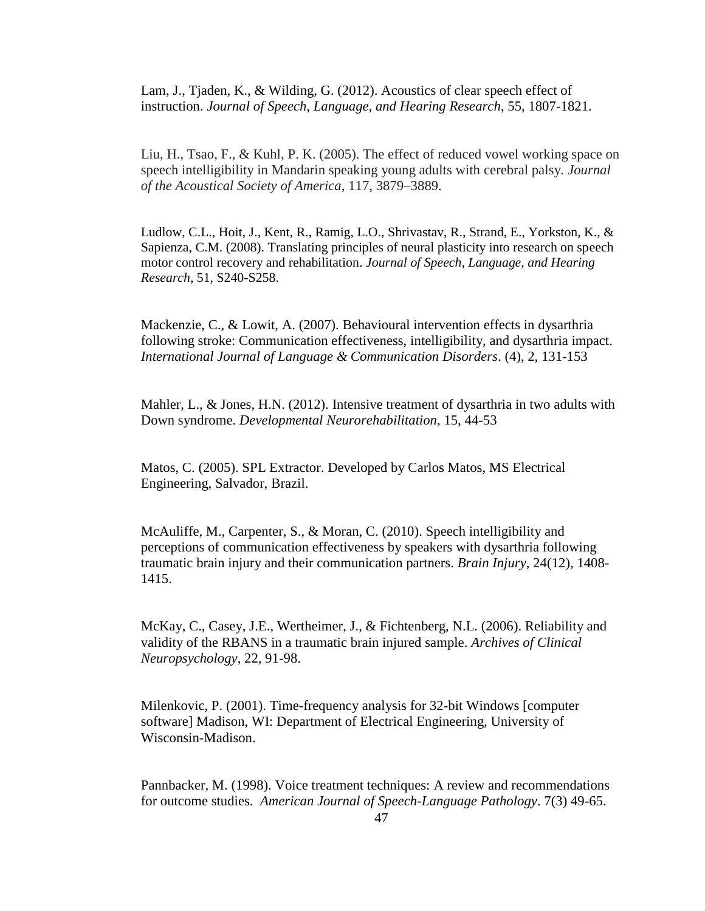Lam, J., Tiaden, K., & Wilding, G. (2012). Acoustics of clear speech effect of instruction. *Journal of Speech, Language, and Hearing Research*, 55, 1807-1821.

Liu, H., Tsao, F., & Kuhl, P. K. (2005). The effect of reduced vowel working space on speech intelligibility in Mandarin speaking young adults with cerebral palsy*. Journal of the Acoustical Society of America,* 117, 3879–3889.

Ludlow, C.L., Hoit, J., Kent, R., Ramig, L.O., Shrivastav, R., Strand, E., Yorkston, K., & Sapienza, C.M. (2008). Translating principles of neural plasticity into research on speech motor control recovery and rehabilitation. *Journal of Speech, Language, and Hearing Research*, 51, S240-S258.

Mackenzie, C., & Lowit, A. (2007). Behavioural intervention effects in dysarthria following stroke: Communication effectiveness, intelligibility, and dysarthria impact. *International Journal of Language & Communication Disorders*. (4), 2, 131-153

Mahler, L., & Jones, H.N. (2012). Intensive treatment of dysarthria in two adults with Down syndrome. *Developmental Neurorehabilitation*, 15, 44-53

Matos, C. (2005). SPL Extractor. Developed by Carlos Matos, MS Electrical Engineering, Salvador, Brazil.

McAuliffe, M., Carpenter, S., & Moran, C. (2010). Speech intelligibility and perceptions of communication effectiveness by speakers with dysarthria following traumatic brain injury and their communication partners. *Brain Injury*, 24(12), 1408- 1415.

McKay, C., Casey, J.E., Wertheimer, J., & Fichtenberg, N.L. (2006). Reliability and validity of the RBANS in a traumatic brain injured sample. *Archives of Clinical Neuropsychology*, 22, 91-98.

Milenkovic, P. (2001). Time-frequency analysis for 32-bit Windows [computer software] Madison, WI: Department of Electrical Engineering, University of Wisconsin-Madison.

Pannbacker, M. (1998). Voice treatment techniques: A review and recommendations for outcome studies. *American Journal of Speech-Language Pathology*. 7(3) 49-65.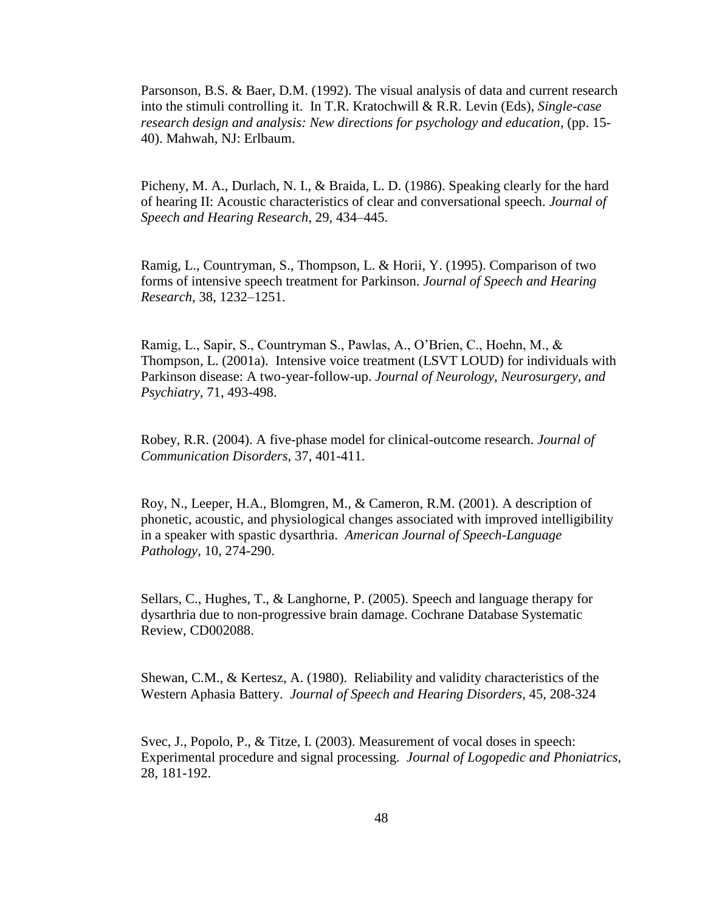Parsonson, B.S. & Baer, D.M. (1992). The visual analysis of data and current research into the stimuli controlling it. In T.R. Kratochwill & R.R. Levin (Eds), *Single-case research design and analysis: New directions for psychology and education*, (pp. 15- 40). Mahwah, NJ: Erlbaum.

Picheny, M. A., Durlach, N. I., & Braida, L. D. (1986). Speaking clearly for the hard of hearing II: Acoustic characteristics of clear and conversational speech. *Journal of Speech and Hearing Research*, 29, 434–445.

Ramig, L., Countryman, S., Thompson, L. & Horii, Y. (1995). Comparison of two forms of intensive speech treatment for Parkinson. *Journal of Speech and Hearing Research*, 38, 1232–1251.

Ramig, L., Sapir, S., Countryman S., Pawlas, A., O'Brien, C., Hoehn, M., & Thompson, L. (2001a). Intensive voice treatment (LSVT LOUD) for individuals with Parkinson disease: A two-year-follow-up. *Journal of Neurology, Neurosurgery, and Psychiatry,* 71, 493-498.

Robey, R.R. (2004). A five-phase model for clinical-outcome research. *Journal of Communication Disorders*, 37, 401-411.

Roy, N., Leeper, H.A., Blomgren, M., & Cameron, R.M. (2001). A description of phonetic, acoustic, and physiological changes associated with improved intelligibility in a speaker with spastic dysarthria. *American Journal of Speech-Language Pathology*, 10, 274-290.

Sellars, C., Hughes, T., & Langhorne, P. (2005). Speech and language therapy for dysarthria due to non-progressive brain damage. Cochrane Database Systematic Review, CD002088.

Shewan, C.M., & Kertesz, A. (1980). Reliability and validity characteristics of the Western Aphasia Battery. *Journal of Speech and Hearing Disorders*, 45, 208-324

Svec, J., Popolo, P., & Titze, I. (2003). Measurement of vocal doses in speech: Experimental procedure and signal processing. *Journal of Logopedic and Phoniatrics,* 28, 181-192.